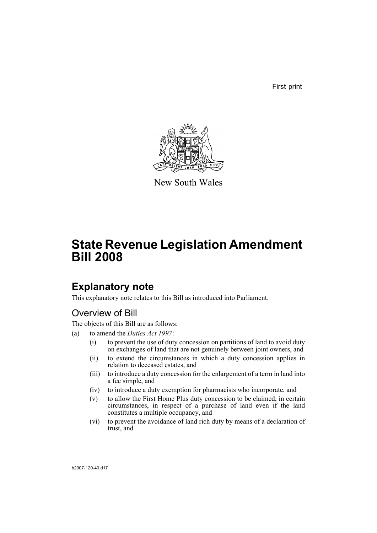First print



New South Wales

# **State Revenue Legislation Amendment Bill 2008**

# **Explanatory note**

This explanatory note relates to this Bill as introduced into Parliament.

# Overview of Bill

The objects of this Bill are as follows:

- (a) to amend the *Duties Act 1997*:
	- (i) to prevent the use of duty concession on partitions of land to avoid duty on exchanges of land that are not genuinely between joint owners, and
	- (ii) to extend the circumstances in which a duty concession applies in relation to deceased estates, and
	- (iii) to introduce a duty concession for the enlargement of a term in land into a fee simple, and
	- (iv) to introduce a duty exemption for pharmacists who incorporate, and
	- (v) to allow the First Home Plus duty concession to be claimed, in certain circumstances, in respect of a purchase of land even if the land constitutes a multiple occupancy, and
	- (vi) to prevent the avoidance of land rich duty by means of a declaration of trust, and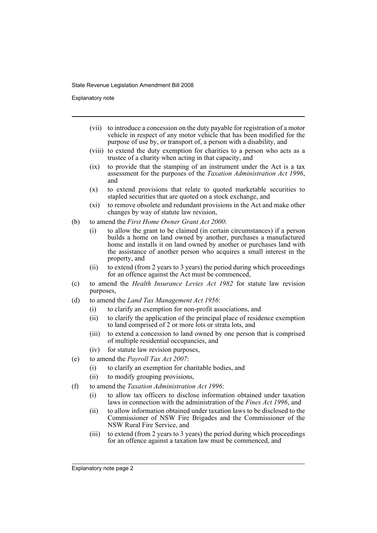Explanatory note

- (vii) to introduce a concession on the duty payable for registration of a motor vehicle in respect of any motor vehicle that has been modified for the purpose of use by, or transport of, a person with a disability, and
- (viii) to extend the duty exemption for charities to a person who acts as a trustee of a charity when acting in that capacity, and
- (ix) to provide that the stamping of an instrument under the Act is a tax assessment for the purposes of the *Taxation Administration Act 1996*, and
- (x) to extend provisions that relate to quoted marketable securities to stapled securities that are quoted on a stock exchange, and
- (xi) to remove obsolete and redundant provisions in the Act and make other changes by way of statute law revision,
- (b) to amend the *First Home Owner Grant Act 2000*:
	- (i) to allow the grant to be claimed (in certain circumstances) if a person builds a home on land owned by another, purchases a manufactured home and installs it on land owned by another or purchases land with the assistance of another person who acquires a small interest in the property, and
	- (ii) to extend (from 2 years to 3 years) the period during which proceedings for an offence against the Act must be commenced,
- (c) to amend the *Health Insurance Levies Act 1982* for statute law revision purposes,
- (d) to amend the *Land Tax Management Act 1956*:
	- (i) to clarify an exemption for non-profit associations, and
	- (ii) to clarify the application of the principal place of residence exemption to land comprised of 2 or more lots or strata lots, and
	- (iii) to extend a concession to land owned by one person that is comprised of multiple residential occupancies, and
	- (iv) for statute law revision purposes,
- (e) to amend the *Payroll Tax Act 2007*:
	- (i) to clarify an exemption for charitable bodies, and
	- (ii) to modify grouping provisions,
- (f) to amend the *Taxation Administration Act 1996*:
	- (i) to allow tax officers to disclose information obtained under taxation laws in connection with the administration of the *Fines Act 1996*, and
	- (ii) to allow information obtained under taxation laws to be disclosed to the Commissioner of NSW Fire Brigades and the Commissioner of the NSW Rural Fire Service, and
	- (iii) to extend (from 2 years to 3 years) the period during which proceedings for an offence against a taxation law must be commenced, and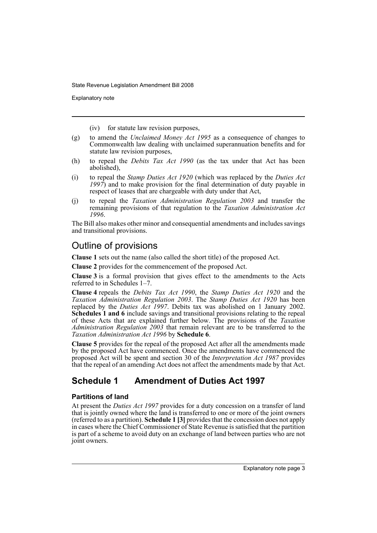Explanatory note

(iv) for statute law revision purposes,

- (g) to amend the *Unclaimed Money Act 1995* as a consequence of changes to Commonwealth law dealing with unclaimed superannuation benefits and for statute law revision purposes,
- (h) to repeal the *Debits Tax Act 1990* (as the tax under that Act has been abolished),
- (i) to repeal the *Stamp Duties Act 1920* (which was replaced by the *Duties Act 1997*) and to make provision for the final determination of duty payable in respect of leases that are chargeable with duty under that Act,
- (j) to repeal the *Taxation Administration Regulation 2003* and transfer the remaining provisions of that regulation to the *Taxation Administration Act 1996*.

The Bill also makes other minor and consequential amendments and includes savings and transitional provisions.

# Outline of provisions

**Clause 1** sets out the name (also called the short title) of the proposed Act.

**Clause 2** provides for the commencement of the proposed Act.

**Clause 3** is a formal provision that gives effect to the amendments to the Acts referred to in Schedules 1–7.

**Clause 4** repeals the *Debits Tax Act 1990*, the *Stamp Duties Act 1920* and the *Taxation Administration Regulation 2003*. The *Stamp Duties Act 1920* has been replaced by the *Duties Act 1997*. Debits tax was abolished on 1 January 2002. **Schedules 1 and 6** include savings and transitional provisions relating to the repeal of these Acts that are explained further below. The provisions of the *Taxation Administration Regulation 2003* that remain relevant are to be transferred to the *Taxation Administration Act 1996* by **Schedule 6**.

**Clause 5** provides for the repeal of the proposed Act after all the amendments made by the proposed Act have commenced. Once the amendments have commenced the proposed Act will be spent and section 30 of the *Interpretation Act 1987* provides that the repeal of an amending Act does not affect the amendments made by that Act.

# **Schedule 1 Amendment of Duties Act 1997**

### **Partitions of land**

At present the *Duties Act 1997* provides for a duty concession on a transfer of land that is jointly owned where the land is transferred to one or more of the joint owners (referred to as a partition). **Schedule 1 [3]** provides that the concession does not apply in cases where the Chief Commissioner of State Revenue is satisfied that the partition is part of a scheme to avoid duty on an exchange of land between parties who are not joint owners.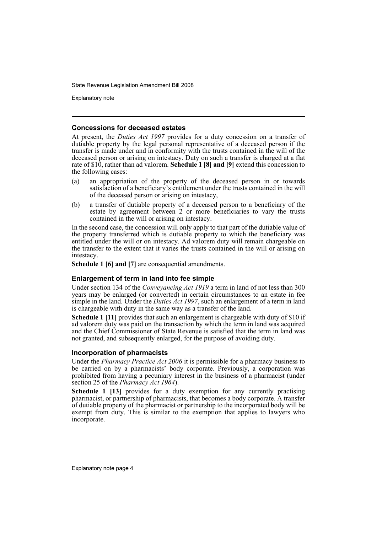Explanatory note

#### **Concessions for deceased estates**

At present, the *Duties Act 1997* provides for a duty concession on a transfer of dutiable property by the legal personal representative of a deceased person if the transfer is made under and in conformity with the trusts contained in the will of the deceased person or arising on intestacy. Duty on such a transfer is charged at a flat rate of \$10, rather than ad valorem. **Schedule 1 [8] and [9]** extend this concession to the following cases:

- (a) an appropriation of the property of the deceased person in or towards satisfaction of a beneficiary's entitlement under the trusts contained in the will of the deceased person or arising on intestacy,
- (b) a transfer of dutiable property of a deceased person to a beneficiary of the estate by agreement between 2 or more beneficiaries to vary the trusts contained in the will or arising on intestacy.

In the second case, the concession will only apply to that part of the dutiable value of the property transferred which is dutiable property to which the beneficiary was entitled under the will or on intestacy. Ad valorem duty will remain chargeable on the transfer to the extent that it varies the trusts contained in the will or arising on intestacy.

**Schedule 1 [6] and [7]** are consequential amendments.

#### **Enlargement of term in land into fee simple**

Under section 134 of the *Conveyancing Act 1919* a term in land of not less than 300 years may be enlarged (or converted) in certain circumstances to an estate in fee simple in the land. Under the *Duties Act 1997*, such an enlargement of a term in land is chargeable with duty in the same way as a transfer of the land.

**Schedule 1 [11]** provides that such an enlargement is chargeable with duty of \$10 if ad valorem duty was paid on the transaction by which the term in land was acquired and the Chief Commissioner of State Revenue is satisfied that the term in land was not granted, and subsequently enlarged, for the purpose of avoiding duty.

#### **Incorporation of pharmacists**

Under the *Pharmacy Practice Act 2006* it is permissible for a pharmacy business to be carried on by a pharmacists' body corporate. Previously, a corporation was prohibited from having a pecuniary interest in the business of a pharmacist (under section 25 of the *Pharmacy Act 1964*).

**Schedule 1 [13]** provides for a duty exemption for any currently practising pharmacist, or partnership of pharmacists, that becomes a body corporate. A transfer of dutiable property of the pharmacist or partnership to the incorporated body will be exempt from duty. This is similar to the exemption that applies to lawyers who incorporate.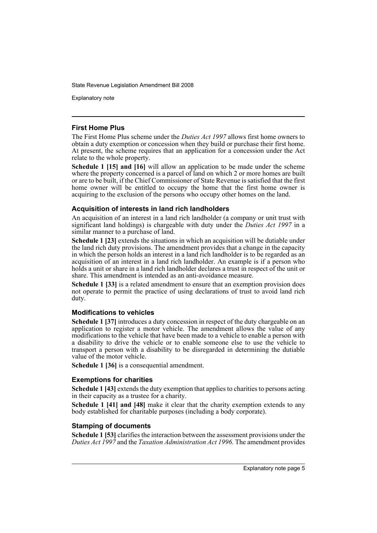Explanatory note

#### **First Home Plus**

The First Home Plus scheme under the *Duties Act 1997* allows first home owners to obtain a duty exemption or concession when they build or purchase their first home. At present, the scheme requires that an application for a concession under the Act relate to the whole property.

**Schedule 1 [15] and [16]** will allow an application to be made under the scheme where the property concerned is a parcel of land on which 2 or more homes are built or are to be built, if the Chief Commissioner of State Revenue is satisfied that the first home owner will be entitled to occupy the home that the first home owner is acquiring to the exclusion of the persons who occupy other homes on the land.

#### **Acquisition of interests in land rich landholders**

An acquisition of an interest in a land rich landholder (a company or unit trust with significant land holdings) is chargeable with duty under the *Duties Act 1997* in a similar manner to a purchase of land.

**Schedule 1 [23]** extends the situations in which an acquisition will be dutiable under the land rich duty provisions. The amendment provides that a change in the capacity in which the person holds an interest in a land rich landholder is to be regarded as an acquisition of an interest in a land rich landholder. An example is if a person who holds a unit or share in a land rich landholder declares a trust in respect of the unit or share. This amendment is intended as an anti-avoidance measure.

**Schedule 1 [33]** is a related amendment to ensure that an exemption provision does not operate to permit the practice of using declarations of trust to avoid land rich duty.

#### **Modifications to vehicles**

**Schedule 1 [37]** introduces a duty concession in respect of the duty chargeable on an application to register a motor vehicle. The amendment allows the value of any modifications to the vehicle that have been made to a vehicle to enable a person with a disability to drive the vehicle or to enable someone else to use the vehicle to transport a person with a disability to be disregarded in determining the dutiable value of the motor vehicle.

**Schedule 1 [36]** is a consequential amendment.

#### **Exemptions for charities**

**Schedule 1 [43]** extends the duty exemption that applies to charities to persons acting in their capacity as a trustee for a charity.

**Schedule 1 [41] and [48]** make it clear that the charity exemption extends to any body established for charitable purposes (including a body corporate).

#### **Stamping of documents**

**Schedule 1 [53]** clarifies the interaction between the assessment provisions under the *Duties Act 1997* and the *Taxation Administration Act 1996*. The amendment provides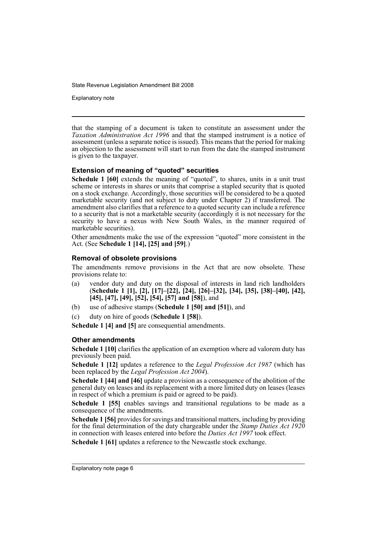Explanatory note

that the stamping of a document is taken to constitute an assessment under the *Taxation Administration Act 1996* and that the stamped instrument is a notice of assessment (unless a separate notice is issued). This means that the period for making an objection to the assessment will start to run from the date the stamped instrument is given to the taxpayer.

#### **Extension of meaning of "quoted" securities**

**Schedule 1 [60]** extends the meaning of "quoted", to shares, units in a unit trust scheme or interests in shares or units that comprise a stapled security that is quoted on a stock exchange. Accordingly, those securities will be considered to be a quoted marketable security (and not subject to duty under Chapter 2) if transferred. The amendment also clarifies that a reference to a quoted security can include a reference to a security that is not a marketable security (accordingly it is not necessary for the security to have a nexus with New South Wales, in the manner required of marketable securities).

Other amendments make the use of the expression "quoted" more consistent in the Act. (See **Schedule 1 [14], [25] and [59]**.)

#### **Removal of obsolete provisions**

The amendments remove provisions in the Act that are now obsolete. These provisions relate to:

- (a) vendor duty and duty on the disposal of interests in land rich landholders (**Schedule 1 [1], [2], [17]–[22], [24], [26]–[32], [34], [35], [38]–[40], [42], [45], [47], [49], [52], [54], [57] and [58]**), and
- (b) use of adhesive stamps (**Schedule 1 [50] and [51]**), and
- (c) duty on hire of goods (**Schedule 1 [58]**).

**Schedule 1 [4] and [5]** are consequential amendments.

#### **Other amendments**

**Schedule 1 [10]** clarifies the application of an exemption where ad valorem duty has previously been paid.

**Schedule 1 [12]** updates a reference to the *Legal Profession Act 1987* (which has been replaced by the *Legal Profession Act 2004*).

**Schedule 1 [44] and [46]** update a provision as a consequence of the abolition of the general duty on leases and its replacement with a more limited duty on leases (leases in respect of which a premium is paid or agreed to be paid).

Schedule 1 [55] enables savings and transitional regulations to be made as a consequence of the amendments.

**Schedule 1 [56]** provides for savings and transitional matters, including by providing for the final determination of the duty chargeable under the *Stamp Duties Act 1920* in connection with leases entered into before the *Duties Act 1997* took effect.

**Schedule 1 [61]** updates a reference to the Newcastle stock exchange.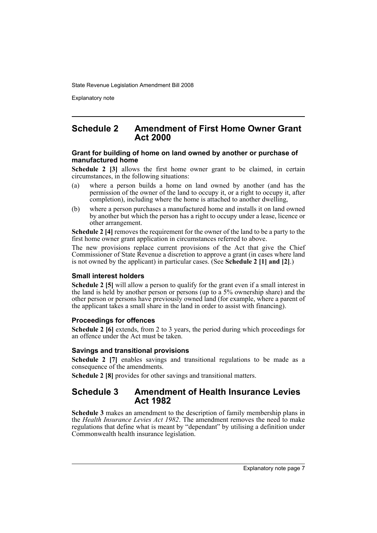Explanatory note

### **Schedule 2 Amendment of First Home Owner Grant Act 2000**

#### **Grant for building of home on land owned by another or purchase of manufactured home**

**Schedule 2 [3]** allows the first home owner grant to be claimed, in certain circumstances, in the following situations:

- (a) where a person builds a home on land owned by another (and has the permission of the owner of the land to occupy it, or a right to occupy it, after completion), including where the home is attached to another dwelling,
- (b) where a person purchases a manufactured home and installs it on land owned by another but which the person has a right to occupy under a lease, licence or other arrangement.

**Schedule 2 [4]** removes the requirement for the owner of the land to be a party to the first home owner grant application in circumstances referred to above.

The new provisions replace current provisions of the Act that give the Chief Commissioner of State Revenue a discretion to approve a grant (in cases where land is not owned by the applicant) in particular cases. (See **Schedule 2 [1] and [2]**.)

#### **Small interest holders**

**Schedule 2 [5]** will allow a person to qualify for the grant even if a small interest in the land is held by another person or persons (up to a 5% ownership share) and the other person or persons have previously owned land (for example, where a parent of the applicant takes a small share in the land in order to assist with financing).

#### **Proceedings for offences**

**Schedule 2 [6]** extends, from 2 to 3 years, the period during which proceedings for an offence under the Act must be taken.

#### **Savings and transitional provisions**

**Schedule 2 [7]** enables savings and transitional regulations to be made as a consequence of the amendments.

**Schedule 2 [8]** provides for other savings and transitional matters.

# **Schedule 3 Amendment of Health Insurance Levies Act 1982**

**Schedule 3** makes an amendment to the description of family membership plans in the *Health Insurance Levies Act 1982*. The amendment removes the need to make regulations that define what is meant by "dependant" by utilising a definition under Commonwealth health insurance legislation.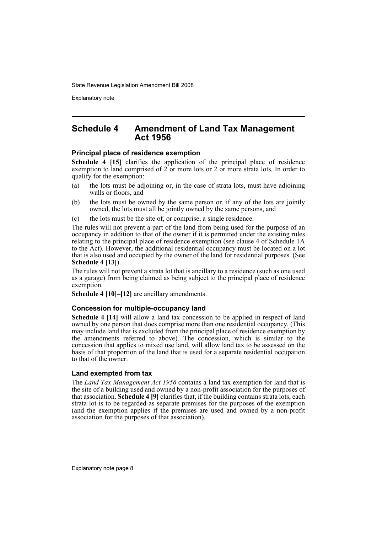Explanatory note

### **Schedule 4 Amendment of Land Tax Management Act 1956**

#### **Principal place of residence exemption**

**Schedule 4 [15]** clarifies the application of the principal place of residence exemption to land comprised of 2 or more lots or 2 or more strata lots. In order to qualify for the exemption:

- (a) the lots must be adjoining or, in the case of strata lots, must have adjoining walls or floors, and
- (b) the lots must be owned by the same person or, if any of the lots are jointly owned, the lots must all be jointly owned by the same persons, and
- (c) the lots must be the site of, or comprise, a single residence.

The rules will not prevent a part of the land from being used for the purpose of an occupancy in addition to that of the owner if it is permitted under the existing rules relating to the principal place of residence exemption (see clause 4 of Schedule 1A to the Act). However, the additional residential occupancy must be located on a lot that is also used and occupied by the owner of the land for residential purposes. (See **Schedule 4 [13]**).

The rules will not prevent a strata lot that is ancillary to a residence (such as one used as a garage) from being claimed as being subject to the principal place of residence exemption.

**Schedule 4 [10]–[12]** are ancillary amendments.

#### **Concession for multiple-occupancy land**

**Schedule 4 [14]** will allow a land tax concession to be applied in respect of land owned by one person that does comprise more than one residential occupancy. (This may include land that is excluded from the principal place of residence exemption by the amendments referred to above). The concession, which is similar to the concession that applies to mixed use land, will allow land tax to be assessed on the basis of that proportion of the land that is used for a separate residential occupation to that of the owner.

#### **Land exempted from tax**

The *Land Tax Management Act 1956* contains a land tax exemption for land that is the site of a building used and owned by a non-profit association for the purposes of that association. **Schedule 4 [9]** clarifies that, if the building contains strata lots, each strata lot is to be regarded as separate premises for the purposes of the exemption (and the exemption applies if the premises are used and owned by a non-profit association for the purposes of that association).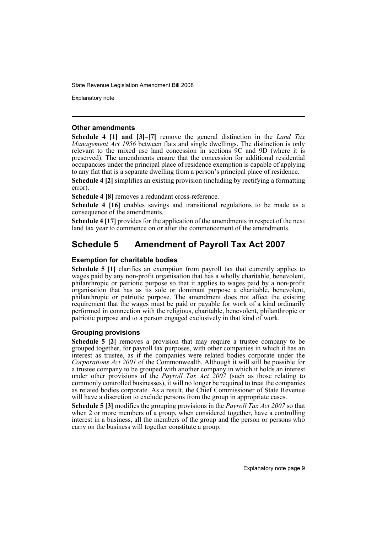Explanatory note

#### **Other amendments**

**Schedule 4 [1] and [3]–[7]** remove the general distinction in the *Land Tax Management Act 1956* between flats and single dwellings. The distinction is only relevant to the mixed use land concession in sections 9C and 9D (where it is preserved). The amendments ensure that the concession for additional residential occupancies under the principal place of residence exemption is capable of applying to any flat that is a separate dwelling from a person's principal place of residence.

**Schedule 4 [2]** simplifies an existing provision (including by rectifying a formatting error).

**Schedule 4 [8]** removes a redundant cross-reference.

**Schedule 4 [16]** enables savings and transitional regulations to be made as a consequence of the amendments.

**Schedule 4 [17]** provides for the application of the amendments in respect of the next land tax year to commence on or after the commencement of the amendments.

# **Schedule 5 Amendment of Payroll Tax Act 2007**

#### **Exemption for charitable bodies**

**Schedule 5 [1]** clarifies an exemption from payroll tax that currently applies to wages paid by any non-profit organisation that has a wholly charitable, benevolent, philanthropic or patriotic purpose so that it applies to wages paid by a non-profit organisation that has as its sole or dominant purpose a charitable, benevolent, philanthropic or patriotic purpose. The amendment does not affect the existing requirement that the wages must be paid or payable for work of a kind ordinarily performed in connection with the religious, charitable, benevolent, philanthropic or patriotic purpose and to a person engaged exclusively in that kind of work.

### **Grouping provisions**

**Schedule 5 [2]** removes a provision that may require a trustee company to be grouped together, for payroll tax purposes, with other companies in which it has an interest as trustee, as if the companies were related bodies corporate under the *Corporations Act 2001* of the Commonwealth. Although it will still be possible for a trustee company to be grouped with another company in which it holds an interest under other provisions of the *Payroll Tax Act 2007* (such as those relating to commonly controlled businesses), it will no longer be required to treat the companies as related bodies corporate. As a result, the Chief Commissioner of State Revenue will have a discretion to exclude persons from the group in appropriate cases.

**Schedule 5 [3]** modifies the grouping provisions in the *Payroll Tax Act 2007* so that when 2 or more members of a group, when considered together, have a controlling interest in a business, all the members of the group and the person or persons who carry on the business will together constitute a group.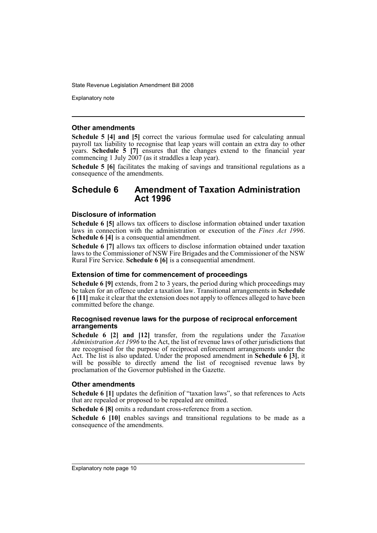Explanatory note

#### **Other amendments**

**Schedule 5 [4] and [5]** correct the various formulae used for calculating annual payroll tax liability to recognise that leap years will contain an extra day to other years. **Schedule 5 [7]** ensures that the changes extend to the financial year commencing 1 July 2007 (as it straddles a leap year).

**Schedule 5 [6]** facilitates the making of savings and transitional regulations as a consequence of the amendments.

# **Schedule 6 Amendment of Taxation Administration Act 1996**

#### **Disclosure of information**

**Schedule 6 [5]** allows tax officers to disclose information obtained under taxation laws in connection with the administration or execution of the *Fines Act 1996*. **Schedule 6 [4]** is a consequential amendment.

**Schedule 6 [7]** allows tax officers to disclose information obtained under taxation laws to the Commissioner of NSW Fire Brigades and the Commissioner of the NSW Rural Fire Service. **Schedule 6 [6]** is a consequential amendment.

#### **Extension of time for commencement of proceedings**

**Schedule 6 [9]** extends, from 2 to 3 years, the period during which proceedings may be taken for an offence under a taxation law. Transitional arrangements in **Schedule 6 [11]** make it clear that the extension does not apply to offences alleged to have been committed before the change.

#### **Recognised revenue laws for the purpose of reciprocal enforcement arrangements**

**Schedule 6 [2] and [12]** transfer, from the regulations under the *Taxation Administration Act 1996* to the Act, the list of revenue laws of other jurisdictions that are recognised for the purpose of reciprocal enforcement arrangements under the Act. The list is also updated. Under the proposed amendment in **Schedule 6 [3]**, it will be possible to directly amend the list of recognised revenue laws by proclamation of the Governor published in the Gazette.

#### **Other amendments**

**Schedule 6 [1]** updates the definition of "taxation laws", so that references to Acts that are repealed or proposed to be repealed are omitted.

**Schedule 6 [8]** omits a redundant cross-reference from a section.

**Schedule 6 [10]** enables savings and transitional regulations to be made as a consequence of the amendments.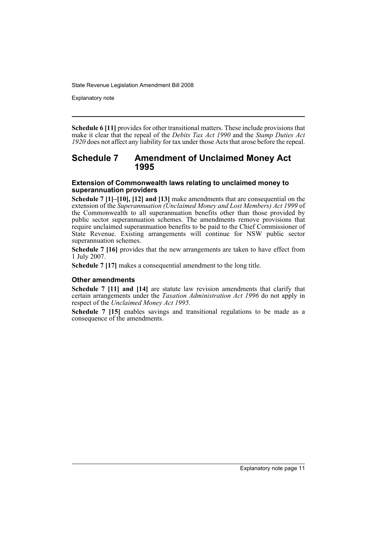Explanatory note

**Schedule 6 [11]** provides for other transitional matters. These include provisions that make it clear that the repeal of the *Debits Tax Act 1990* and the *Stamp Duties Act 1920* does not affect any liability for tax under those Acts that arose before the repeal.

# **Schedule 7 Amendment of Unclaimed Money Act 1995**

#### **Extension of Commonwealth laws relating to unclaimed money to superannuation providers**

**Schedule 7 [1]–[10], [12] and [13]** make amendments that are consequential on the extension of the *Superannuation (Unclaimed Money and Lost Members) Act 1999* of the Commonwealth to all superannuation benefits other than those provided by public sector superannuation schemes. The amendments remove provisions that require unclaimed superannuation benefits to be paid to the Chief Commissioner of State Revenue. Existing arrangements will continue for NSW public sector superannuation schemes.

**Schedule 7 [16]** provides that the new arrangements are taken to have effect from 1 July 2007.

**Schedule 7 [17]** makes a consequential amendment to the long title.

#### **Other amendments**

**Schedule 7 [11] and [14]** are statute law revision amendments that clarify that certain arrangements under the *Taxation Administration Act 1996* do not apply in respect of the *Unclaimed Money Act 1995*.

**Schedule 7 [15]** enables savings and transitional regulations to be made as a consequence of the amendments.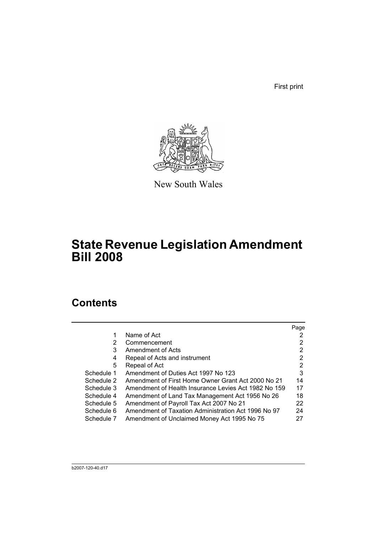First print



New South Wales

# **State Revenue Legislation Amendment Bill 2008**

# **Contents**

|            |                                                      | Page |
|------------|------------------------------------------------------|------|
| 1          | Name of Act                                          |      |
| 2          | Commencement                                         | 2    |
| 3          | Amendment of Acts                                    | 2    |
| 4          | Repeal of Acts and instrument                        | 2    |
| 5          | Repeal of Act                                        | 2    |
| Schedule 1 | Amendment of Duties Act 1997 No 123                  | 3    |
| Schedule 2 | Amendment of First Home Owner Grant Act 2000 No 21   | 14   |
| Schedule 3 | Amendment of Health Insurance Levies Act 1982 No 159 | 17   |
| Schedule 4 | Amendment of Land Tax Management Act 1956 No 26      | 18   |
| Schedule 5 | Amendment of Payroll Tax Act 2007 No 21              | 22   |
| Schedule 6 | Amendment of Taxation Administration Act 1996 No 97  | 24   |
| Schedule 7 | Amendment of Unclaimed Money Act 1995 No 75          | 27   |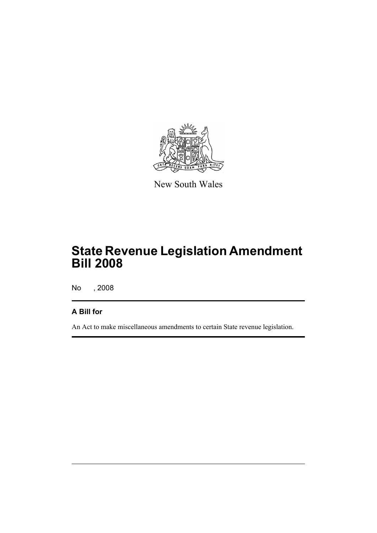

New South Wales

# **State Revenue Legislation Amendment Bill 2008**

No , 2008

# **A Bill for**

An Act to make miscellaneous amendments to certain State revenue legislation.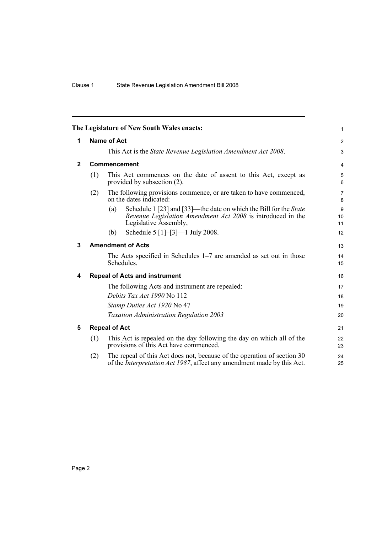<span id="page-15-4"></span><span id="page-15-3"></span><span id="page-15-2"></span><span id="page-15-1"></span><span id="page-15-0"></span>

|              |                    | The Legislature of New South Wales enacts:                                                                                                                       | 1                            |  |  |  |
|--------------|--------------------|------------------------------------------------------------------------------------------------------------------------------------------------------------------|------------------------------|--|--|--|
| 1            | <b>Name of Act</b> |                                                                                                                                                                  |                              |  |  |  |
|              |                    | This Act is the <i>State Revenue Legislation Amendment Act 2008</i> .                                                                                            | 3                            |  |  |  |
| $\mathbf{2}$ |                    | Commencement                                                                                                                                                     | 4                            |  |  |  |
|              | (1)                | This Act commences on the date of assent to this Act, except as<br>provided by subsection (2).                                                                   | 5<br>6                       |  |  |  |
|              | (2)                | The following provisions commence, or are taken to have commenced,<br>on the dates indicated:                                                                    | $\overline{7}$<br>8          |  |  |  |
|              |                    | Schedule 1 [23] and [33]—the date on which the Bill for the State<br>(a)<br>Revenue Legislation Amendment Act 2008 is introduced in the<br>Legislative Assembly, | $\boldsymbol{9}$<br>10<br>11 |  |  |  |
|              |                    | Schedule 5 [1]–[3]—1 July 2008.<br>(b)                                                                                                                           | 12                           |  |  |  |
| 3            |                    | <b>Amendment of Acts</b>                                                                                                                                         | 13                           |  |  |  |
|              |                    | The Acts specified in Schedules $1-7$ are amended as set out in those<br>Schedules.                                                                              | 14<br>15                     |  |  |  |
| 4            |                    | <b>Repeal of Acts and instrument</b>                                                                                                                             | 16                           |  |  |  |
|              |                    | The following Acts and instrument are repealed:                                                                                                                  | 17                           |  |  |  |
|              |                    | Debits Tax Act 1990 No 112                                                                                                                                       | 18                           |  |  |  |
|              |                    | Stamp Duties Act 1920 No 47                                                                                                                                      | 19                           |  |  |  |
|              |                    | Taxation Administration Regulation 2003                                                                                                                          | 20                           |  |  |  |
| 5            |                    | <b>Repeal of Act</b>                                                                                                                                             | 21                           |  |  |  |
|              | (1)                | This Act is repealed on the day following the day on which all of the<br>provisions of this Act have commenced.                                                  | 22<br>23                     |  |  |  |
|              | (2)                | The repeal of this Act does not, because of the operation of section 30<br>of the <i>Interpretation Act 1987</i> , affect any amendment made by this Act.        | 24<br>25                     |  |  |  |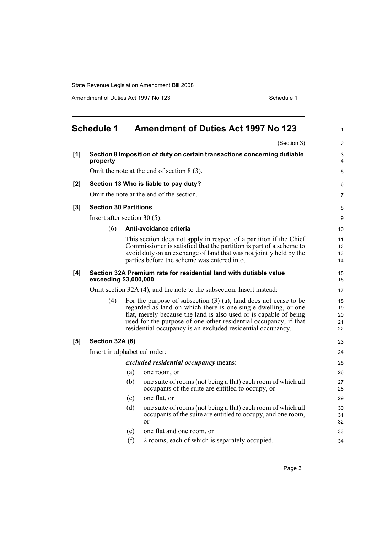Amendment of Duties Act 1997 No 123 Schedule 1

<span id="page-16-0"></span>

|                  | <b>Schedule 1</b>                                                                          |     | <b>Amendment of Duties Act 1997 No 123</b>                                                                                                                                                                                                                                                                                                      | $\mathbf{1}$               |
|------------------|--------------------------------------------------------------------------------------------|-----|-------------------------------------------------------------------------------------------------------------------------------------------------------------------------------------------------------------------------------------------------------------------------------------------------------------------------------------------------|----------------------------|
|                  |                                                                                            |     | (Section 3)                                                                                                                                                                                                                                                                                                                                     | $\overline{2}$             |
| [1]              | property                                                                                   |     | Section 8 Imposition of duty on certain transactions concerning dutiable                                                                                                                                                                                                                                                                        | 3<br>4                     |
|                  |                                                                                            |     | Omit the note at the end of section $8(3)$ .                                                                                                                                                                                                                                                                                                    | 5                          |
| [2]              |                                                                                            |     | Section 13 Who is liable to pay duty?                                                                                                                                                                                                                                                                                                           | 6                          |
|                  |                                                                                            |     | Omit the note at the end of the section.                                                                                                                                                                                                                                                                                                        | 7                          |
| $\left[3\right]$ | <b>Section 30 Partitions</b>                                                               |     |                                                                                                                                                                                                                                                                                                                                                 | 8                          |
|                  | Insert after section 30 $(5)$ :                                                            |     |                                                                                                                                                                                                                                                                                                                                                 | 9                          |
|                  | (6)                                                                                        |     | Anti-avoidance criteria                                                                                                                                                                                                                                                                                                                         | 10                         |
|                  |                                                                                            |     | This section does not apply in respect of a partition if the Chief<br>Commissioner is satisfied that the partition is part of a scheme to<br>avoid duty on an exchange of land that was not jointly held by the<br>parties before the scheme was entered into.                                                                                  | 11<br>12<br>13<br>14       |
| [4]              | Section 32A Premium rate for residential land with dutiable value<br>exceeding \$3,000,000 |     |                                                                                                                                                                                                                                                                                                                                                 | 15<br>16                   |
|                  |                                                                                            |     | Omit section 32A (4), and the note to the subsection. Insert instead:                                                                                                                                                                                                                                                                           | 17                         |
|                  | (4)                                                                                        |     | For the purpose of subsection $(3)$ $(a)$ , land does not cease to be<br>regarded as land on which there is one single dwelling, or one<br>flat, merely because the land is also used or is capable of being<br>used for the purpose of one other residential occupancy, if that<br>residential occupancy is an excluded residential occupancy. | 18<br>19<br>20<br>21<br>22 |
| [5]              | Section 32A (6)                                                                            |     |                                                                                                                                                                                                                                                                                                                                                 | 23                         |
|                  | Insert in alphabetical order:                                                              |     |                                                                                                                                                                                                                                                                                                                                                 | 24                         |
|                  |                                                                                            |     | <i>excluded residential occupancy means:</i>                                                                                                                                                                                                                                                                                                    | 25                         |
|                  |                                                                                            | (a) | one room, or                                                                                                                                                                                                                                                                                                                                    | 26                         |
|                  |                                                                                            | (b) | one suite of rooms (not being a flat) each room of which all<br>occupants of the suite are entitled to occupy, or                                                                                                                                                                                                                               | 27<br>28                   |
|                  |                                                                                            | (c) | one flat, or                                                                                                                                                                                                                                                                                                                                    | 29                         |
|                  |                                                                                            | (d) | one suite of rooms (not being a flat) each room of which all<br>occupants of the suite are entitled to occupy, and one room,<br><sub>or</sub>                                                                                                                                                                                                   | 30<br>31<br>32             |
|                  |                                                                                            | (e) | one flat and one room, or                                                                                                                                                                                                                                                                                                                       | 33                         |
|                  |                                                                                            | (f) | 2 rooms, each of which is separately occupied.                                                                                                                                                                                                                                                                                                  | 34                         |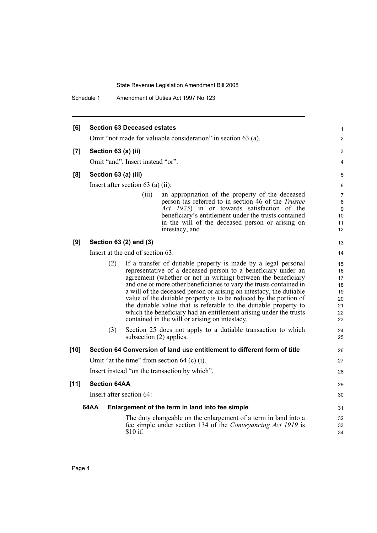Schedule 1 Amendment of Duties Act 1997 No 123

| [6]    |                      | <b>Section 63 Deceased estates</b>  |                                                                                                                                                                                                                                                                                                                                                                                                                                                                                                                                                                                                                | 1                                                  |
|--------|----------------------|-------------------------------------|----------------------------------------------------------------------------------------------------------------------------------------------------------------------------------------------------------------------------------------------------------------------------------------------------------------------------------------------------------------------------------------------------------------------------------------------------------------------------------------------------------------------------------------------------------------------------------------------------------------|----------------------------------------------------|
|        |                      |                                     | Omit "not made for valuable consideration" in section 63 (a).                                                                                                                                                                                                                                                                                                                                                                                                                                                                                                                                                  | 2                                                  |
| [7]    | Section 63 (a) (ii)  |                                     |                                                                                                                                                                                                                                                                                                                                                                                                                                                                                                                                                                                                                | 3                                                  |
|        |                      | Omit "and". Insert instead "or".    |                                                                                                                                                                                                                                                                                                                                                                                                                                                                                                                                                                                                                | 4                                                  |
| [8]    | Section 63 (a) (iii) |                                     |                                                                                                                                                                                                                                                                                                                                                                                                                                                                                                                                                                                                                | 5                                                  |
|        |                      | Insert after section $63$ (a) (ii): |                                                                                                                                                                                                                                                                                                                                                                                                                                                                                                                                                                                                                | 6                                                  |
|        |                      | (111)                               | an appropriation of the property of the deceased<br>person (as referred to in section 46 of the Trustee<br>Act 1925) in or towards satisfaction of the                                                                                                                                                                                                                                                                                                                                                                                                                                                         | 7<br>8<br>9                                        |
|        |                      |                                     | beneficiary's entitlement under the trusts contained<br>in the will of the deceased person or arising on<br>intestacy, and                                                                                                                                                                                                                                                                                                                                                                                                                                                                                     | 10<br>11<br>12                                     |
| [9]    |                      | Section 63 (2) and (3)              |                                                                                                                                                                                                                                                                                                                                                                                                                                                                                                                                                                                                                | 13                                                 |
|        |                      | Insert at the end of section 63:    |                                                                                                                                                                                                                                                                                                                                                                                                                                                                                                                                                                                                                | 14                                                 |
|        | (2)                  |                                     | If a transfer of dutiable property is made by a legal personal<br>representative of a deceased person to a beneficiary under an<br>agreement (whether or not in writing) between the beneficiary<br>and one or more other beneficiaries to vary the trusts contained in<br>a will of the deceased person or arising on intestacy, the dutiable<br>value of the dutiable property is to be reduced by the portion of<br>the dutiable value that is referable to the dutiable property to<br>which the beneficiary had an entitlement arising under the trusts<br>contained in the will or arising on intestacy. | 15<br>16<br>17<br>18<br>19<br>20<br>21<br>22<br>23 |
|        | (3)                  | subsection $(2)$ applies.           | Section 25 does not apply to a dutiable transaction to which                                                                                                                                                                                                                                                                                                                                                                                                                                                                                                                                                   | 24<br>25                                           |
| $[10]$ |                      |                                     | Section 64 Conversion of land use entitlement to different form of title                                                                                                                                                                                                                                                                                                                                                                                                                                                                                                                                       | 26                                                 |
|        |                      |                                     | Omit "at the time" from section $64$ (c) (i).                                                                                                                                                                                                                                                                                                                                                                                                                                                                                                                                                                  | 27                                                 |
|        |                      |                                     | Insert instead "on the transaction by which".                                                                                                                                                                                                                                                                                                                                                                                                                                                                                                                                                                  | 28                                                 |
| $[11]$ | <b>Section 64AA</b>  |                                     |                                                                                                                                                                                                                                                                                                                                                                                                                                                                                                                                                                                                                | 29                                                 |
|        |                      | Insert after section 64:            |                                                                                                                                                                                                                                                                                                                                                                                                                                                                                                                                                                                                                | 30                                                 |
|        | 64AA                 |                                     | Enlargement of the term in land into fee simple                                                                                                                                                                                                                                                                                                                                                                                                                                                                                                                                                                | 31                                                 |
|        |                      | \$10 if:                            | The duty chargeable on the enlargement of a term in land into a<br>fee simple under section 134 of the Conveyancing Act 1919 is                                                                                                                                                                                                                                                                                                                                                                                                                                                                                | 32<br>33<br>34                                     |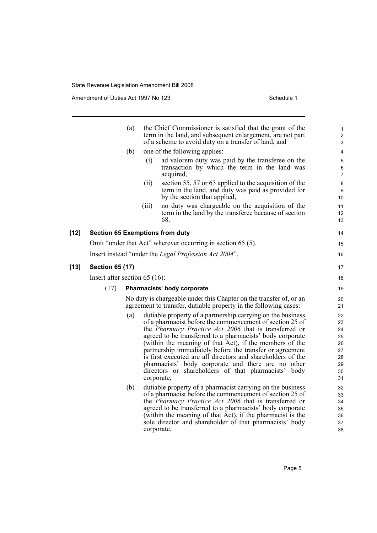Amendment of Duties Act 1997 No 123 Schedule 1

|        |                                  | (a) |            | the Chief Commissioner is satisfied that the grant of the<br>term in the land, and subsequent enlargement, are not part<br>of a scheme to avoid duty on a transfer of land, and                                                                                                                                                                                                                                                                                                                                                                         | 1<br>$\overline{\mathbf{c}}$<br>3                        |  |
|--------|----------------------------------|-----|------------|---------------------------------------------------------------------------------------------------------------------------------------------------------------------------------------------------------------------------------------------------------------------------------------------------------------------------------------------------------------------------------------------------------------------------------------------------------------------------------------------------------------------------------------------------------|----------------------------------------------------------|--|
|        |                                  | (b) |            | one of the following applies:                                                                                                                                                                                                                                                                                                                                                                                                                                                                                                                           | 4                                                        |  |
|        |                                  |     | (i)        | ad valorem duty was paid by the transferee on the<br>transaction by which the term in the land was<br>acquired,                                                                                                                                                                                                                                                                                                                                                                                                                                         | 5<br>6<br>7                                              |  |
|        |                                  |     | (ii)       | section 55, 57 or 63 applied to the acquisition of the<br>term in the land, and duty was paid as provided for<br>by the section that applied,                                                                                                                                                                                                                                                                                                                                                                                                           | 8<br>9<br>10                                             |  |
|        |                                  |     | (iii)      | no duty was chargeable on the acquisition of the<br>term in the land by the transferee because of section<br>68.                                                                                                                                                                                                                                                                                                                                                                                                                                        | 11<br>12<br>13                                           |  |
| $[12]$ |                                  |     |            | <b>Section 65 Exemptions from duty</b>                                                                                                                                                                                                                                                                                                                                                                                                                                                                                                                  | 14                                                       |  |
|        |                                  |     |            | Omit "under that Act" wherever occurring in section 65 (5).                                                                                                                                                                                                                                                                                                                                                                                                                                                                                             | 15                                                       |  |
|        |                                  |     |            | Insert instead "under the Legal Profession Act 2004".                                                                                                                                                                                                                                                                                                                                                                                                                                                                                                   | 16                                                       |  |
| $[13]$ | <b>Section 65 (17)</b>           |     |            |                                                                                                                                                                                                                                                                                                                                                                                                                                                                                                                                                         | 17                                                       |  |
|        | Insert after section 65 $(16)$ : |     |            |                                                                                                                                                                                                                                                                                                                                                                                                                                                                                                                                                         |                                                          |  |
|        | (17)                             |     |            | Pharmacists' body corporate                                                                                                                                                                                                                                                                                                                                                                                                                                                                                                                             | 19                                                       |  |
|        |                                  |     |            | No duty is chargeable under this Chapter on the transfer of, or an<br>agreement to transfer, dutiable property in the following cases:                                                                                                                                                                                                                                                                                                                                                                                                                  | 20<br>21                                                 |  |
|        |                                  | (a) | corporate, | dutiable property of a partnership carrying on the business<br>of a pharmacist before the commencement of section 25 of<br>the <i>Pharmacy Practice Act 2006</i> that is transferred or<br>agreed to be transferred to a pharmacists' body corporate<br>(within the meaning of that Act), if the members of the<br>partnership immediately before the transfer or agreement<br>is first executed are all directors and shareholders of the<br>pharmacists' body corporate and there are no other<br>directors or shareholders of that pharmacists' body | 22<br>23<br>24<br>25<br>26<br>27<br>28<br>29<br>30<br>31 |  |
|        |                                  | (b) | corporate. | dutiable property of a pharmacist carrying on the business<br>of a pharmacist before the commencement of section 25 of<br>the <i>Pharmacy Practice Act 2006</i> that is transferred or<br>agreed to be transferred to a pharmacists' body corporate<br>(within the meaning of that Act), if the pharmacist is the<br>sole director and shareholder of that pharmacists' body                                                                                                                                                                            | 32<br>33<br>34<br>35<br>36<br>37<br>38                   |  |
|        |                                  |     |            |                                                                                                                                                                                                                                                                                                                                                                                                                                                                                                                                                         |                                                          |  |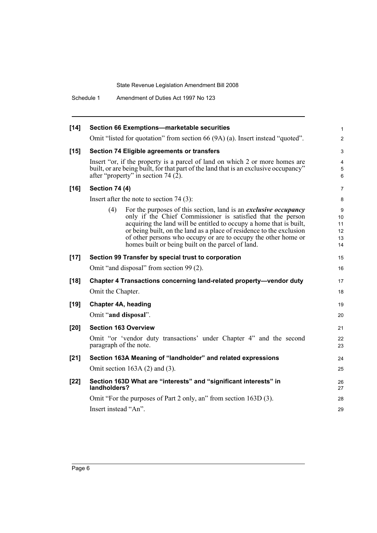Schedule 1 Amendment of Duties Act 1997 No 123

| $[14]$ | Section 66 Exemptions-marketable securities                                                                                                                                                                                                                                                                                                                                                                         | $\mathbf{1}$                    |
|--------|---------------------------------------------------------------------------------------------------------------------------------------------------------------------------------------------------------------------------------------------------------------------------------------------------------------------------------------------------------------------------------------------------------------------|---------------------------------|
|        | Omit "listed for quotation" from section 66 (9A) (a). Insert instead "quoted".                                                                                                                                                                                                                                                                                                                                      | $\overline{2}$                  |
| $[15]$ | Section 74 Eligible agreements or transfers                                                                                                                                                                                                                                                                                                                                                                         | $\mathfrak{S}$                  |
|        | Insert "or, if the property is a parcel of land on which 2 or more homes are<br>built, or are being built, for that part of the land that is an exclusive occupancy"<br>after "property" in section 74 (2).                                                                                                                                                                                                         | $\overline{4}$<br>5<br>6        |
| $[16]$ | <b>Section 74 (4)</b>                                                                                                                                                                                                                                                                                                                                                                                               | $\overline{7}$                  |
|        | Insert after the note to section $74(3)$ :                                                                                                                                                                                                                                                                                                                                                                          | 8                               |
|        | For the purposes of this section, land is an <i>exclusive occupancy</i><br>(4)<br>only if the Chief Commissioner is satisfied that the person<br>acquiring the land will be entitled to occupy a home that is built,<br>or being built, on the land as a place of residence to the exclusion<br>of other persons who occupy or are to occupy the other home or<br>homes built or being built on the parcel of land. | 9<br>10<br>11<br>12<br>13<br>14 |
| $[17]$ | Section 99 Transfer by special trust to corporation                                                                                                                                                                                                                                                                                                                                                                 | 15                              |
|        | Omit "and disposal" from section 99 (2).                                                                                                                                                                                                                                                                                                                                                                            | 16                              |
| $[18]$ | Chapter 4 Transactions concerning land-related property-vendor duty<br>Omit the Chapter.                                                                                                                                                                                                                                                                                                                            | 17<br>18                        |
| $[19]$ | <b>Chapter 4A, heading</b>                                                                                                                                                                                                                                                                                                                                                                                          | 19                              |
|        | Omit "and disposal".                                                                                                                                                                                                                                                                                                                                                                                                | 20                              |
| $[20]$ | <b>Section 163 Overview</b>                                                                                                                                                                                                                                                                                                                                                                                         | 21                              |
|        | Omit "or 'vendor duty transactions' under Chapter 4" and the second<br>paragraph of the note.                                                                                                                                                                                                                                                                                                                       | 22<br>23                        |
| $[21]$ | Section 163A Meaning of "landholder" and related expressions                                                                                                                                                                                                                                                                                                                                                        | 24                              |
|        | Omit section $163A(2)$ and $(3)$ .                                                                                                                                                                                                                                                                                                                                                                                  | 25                              |
| $[22]$ | Section 163D What are "interests" and "significant interests" in<br>landholders?                                                                                                                                                                                                                                                                                                                                    | 26<br>27                        |
|        | Omit "For the purposes of Part 2 only, an" from section 163D (3).                                                                                                                                                                                                                                                                                                                                                   | 28                              |
|        | Insert instead "An".                                                                                                                                                                                                                                                                                                                                                                                                | 29                              |
|        |                                                                                                                                                                                                                                                                                                                                                                                                                     |                                 |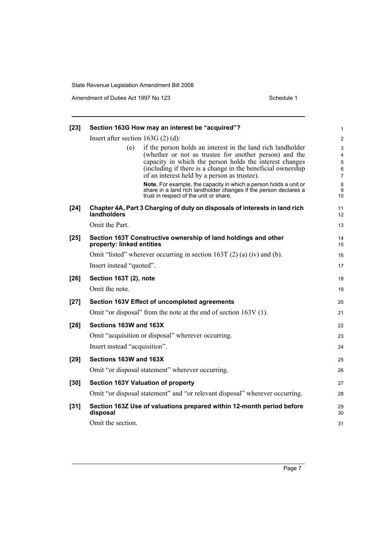Amendment of Duties Act 1997 No 123 Schedule 1

| $[23]$ |                                     | Section 163G How may an interest be "acquired"?                                                                                                                                                                                                                                                 | 1                                  |
|--------|-------------------------------------|-------------------------------------------------------------------------------------------------------------------------------------------------------------------------------------------------------------------------------------------------------------------------------------------------|------------------------------------|
|        | Insert after section $163G(2)(d)$ : |                                                                                                                                                                                                                                                                                                 | $\overline{c}$                     |
|        | (e)                                 | if the person holds an interest in the land rich landholder<br>(whether or not as trustee for another person) and the<br>capacity in which the person holds the interest changes<br>(including if there is a change in the beneficial ownership<br>of an interest held by a person as trustee). | 3<br>4<br>5<br>6<br>$\overline{7}$ |
|        |                                     | Note. For example, the capacity in which a person holds a unit or<br>share in a land rich landholder changes if the person declares a<br>trust in respect of the unit or share.                                                                                                                 | 8<br>9<br>10                       |
| $[24]$ | landholders                         | Chapter 4A, Part 3 Charging of duty on disposals of interests in land rich                                                                                                                                                                                                                      | 11<br>12                           |
|        | Omit the Part.                      |                                                                                                                                                                                                                                                                                                 | 13                                 |
| $[25]$ | property: linked entities           | Section 163T Constructive ownership of land holdings and other                                                                                                                                                                                                                                  | 14<br>15                           |
|        |                                     | Omit "listed" wherever occurring in section 163T $(2)$ (a) (iv) and (b).                                                                                                                                                                                                                        | 16                                 |
|        | Insert instead "quoted".            |                                                                                                                                                                                                                                                                                                 | 17                                 |
| $[26]$ | Section 163T (2), note              |                                                                                                                                                                                                                                                                                                 | 18                                 |
|        | Omit the note.                      |                                                                                                                                                                                                                                                                                                 | 19                                 |
| $[27]$ |                                     | Section 163V Effect of uncompleted agreements                                                                                                                                                                                                                                                   | 20                                 |
|        |                                     | Omit "or disposal" from the note at the end of section 163V (1).                                                                                                                                                                                                                                | 21                                 |
| [28]   | Sections 163W and 163X              |                                                                                                                                                                                                                                                                                                 | 22                                 |
|        |                                     | Omit "acquisition or disposal" wherever occurring.                                                                                                                                                                                                                                              | 23                                 |
|        | Insert instead "acquisition".       |                                                                                                                                                                                                                                                                                                 | 24                                 |
| $[29]$ | Sections 163W and 163X              |                                                                                                                                                                                                                                                                                                 | 25                                 |
|        |                                     | Omit "or disposal statement" wherever occurring.                                                                                                                                                                                                                                                | 26                                 |
| $[30]$ |                                     | <b>Section 163Y Valuation of property</b>                                                                                                                                                                                                                                                       | 27                                 |
|        |                                     | Omit "or disposal statement" and "or relevant disposal" wherever occurring.                                                                                                                                                                                                                     | 28                                 |
| $[31]$ | disposal                            | Section 163Z Use of valuations prepared within 12-month period before                                                                                                                                                                                                                           | 29<br>30                           |
|        | Omit the section.                   |                                                                                                                                                                                                                                                                                                 | 31                                 |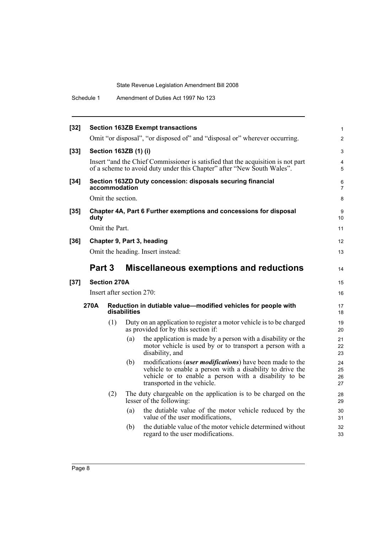Schedule 1 Amendment of Duties Act 1997 No 123

| $[32]$ |        |                     |                           | <b>Section 163ZB Exempt transactions</b>                                                                                                                                                                      | $\mathbf{1}$         |
|--------|--------|---------------------|---------------------------|---------------------------------------------------------------------------------------------------------------------------------------------------------------------------------------------------------------|----------------------|
|        |        |                     |                           | Omit "or disposal", "or disposed of" and "disposal or" wherever occurring.                                                                                                                                    | $\overline{2}$       |
| $[33]$ |        |                     | Section 163ZB (1) (i)     |                                                                                                                                                                                                               | 3                    |
|        |        |                     |                           | Insert "and the Chief Commissioner is satisfied that the acquisition is not part<br>of a scheme to avoid duty under this Chapter" after "New South Wales".                                                    | 4<br>5               |
| $[34]$ |        |                     | accommodation             | Section 163ZD Duty concession: disposals securing financial                                                                                                                                                   | 6<br>$\overline{7}$  |
|        |        | Omit the section.   |                           |                                                                                                                                                                                                               | 8                    |
| $[35]$ | duty   |                     |                           | Chapter 4A, Part 6 Further exemptions and concessions for disposal                                                                                                                                            | 9<br>10              |
|        |        | Omit the Part.      |                           |                                                                                                                                                                                                               | 11                   |
| $[36]$ |        |                     |                           | Chapter 9, Part 3, heading                                                                                                                                                                                    | 12                   |
|        |        |                     |                           | Omit the heading. Insert instead:                                                                                                                                                                             | 13                   |
|        | Part 3 |                     |                           | <b>Miscellaneous exemptions and reductions</b>                                                                                                                                                                | 14                   |
| $[37]$ |        | <b>Section 270A</b> |                           |                                                                                                                                                                                                               | 15                   |
|        |        |                     | Insert after section 270: |                                                                                                                                                                                                               | 16                   |
|        | 270A   |                     | disabilities              | Reduction in dutiable value-modified vehicles for people with                                                                                                                                                 | 17<br>18             |
|        |        | (1)                 |                           | Duty on an application to register a motor vehicle is to be charged<br>as provided for by this section if:                                                                                                    | 19<br>20             |
|        |        |                     | (a)                       | the application is made by a person with a disability or the<br>motor vehicle is used by or to transport a person with a<br>disability, and                                                                   | 21<br>22<br>23       |
|        |        |                     | (b)                       | modifications (user modifications) have been made to the<br>vehicle to enable a person with a disability to drive the<br>vehicle or to enable a person with a disability to be<br>transported in the vehicle. | 24<br>25<br>26<br>27 |
|        |        | (2)                 |                           | The duty chargeable on the application is to be charged on the<br>lesser of the following:                                                                                                                    | 28<br>29             |
|        |        |                     | (a)                       | the dutiable value of the motor vehicle reduced by the<br>value of the user modifications.                                                                                                                    | 30<br>31             |
|        |        |                     | (b)                       | the dutiable value of the motor vehicle determined without<br>regard to the user modifications.                                                                                                               | 32<br>33             |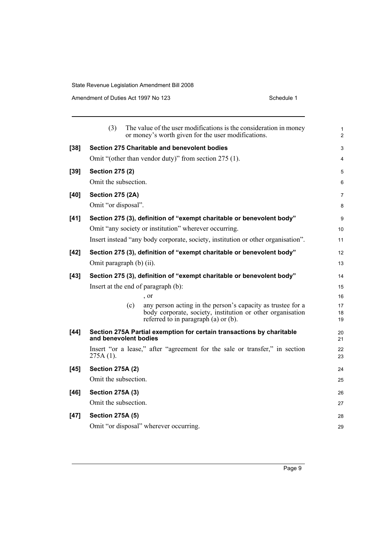Amendment of Duties Act 1997 No 123 Schedule 1

|        | (3)                                 | The value of the user modifications is the consideration in money<br>or money's worth given for the user modifications.                                                | 1<br>$\overline{c}$ |
|--------|-------------------------------------|------------------------------------------------------------------------------------------------------------------------------------------------------------------------|---------------------|
| $[38]$ |                                     | Section 275 Charitable and benevolent bodies                                                                                                                           | 3                   |
|        |                                     | Omit "(other than vendor duty)" from section 275 (1).                                                                                                                  | 4                   |
| $[39]$ | <b>Section 275 (2)</b>              |                                                                                                                                                                        | 5                   |
|        | Omit the subsection.                |                                                                                                                                                                        | 6                   |
| $[40]$ | <b>Section 275 (2A)</b>             |                                                                                                                                                                        | 7                   |
|        | Omit "or disposal".                 |                                                                                                                                                                        | 8                   |
| $[41]$ |                                     | Section 275 (3), definition of "exempt charitable or benevolent body"                                                                                                  | 9                   |
|        |                                     | Omit "any society or institution" wherever occurring.                                                                                                                  | 10                  |
|        |                                     | Insert instead "any body corporate, society, institution or other organisation".                                                                                       | 11                  |
| $[42]$ |                                     | Section 275 (3), definition of "exempt charitable or benevolent body"                                                                                                  | 12                  |
|        | Omit paragraph (b) (ii).            |                                                                                                                                                                        | 13                  |
| $[43]$ |                                     | Section 275 (3), definition of "exempt charitable or benevolent body"                                                                                                  | 14                  |
|        | Insert at the end of paragraph (b): |                                                                                                                                                                        | 15                  |
|        |                                     | , or                                                                                                                                                                   | 16                  |
|        | (c)                                 | any person acting in the person's capacity as trustee for a<br>body corporate, society, institution or other organisation<br>referred to in paragraph $(a)$ or $(b)$ . | 17<br>18<br>19      |
| $[44]$ | and benevolent bodies               | Section 275A Partial exemption for certain transactions by charitable                                                                                                  | 20<br>21            |
|        | $275A(1)$ .                         | Insert "or a lease," after "agreement for the sale or transfer," in section                                                                                            | 22<br>23            |
| $[45]$ | <b>Section 275A (2)</b>             |                                                                                                                                                                        | 24                  |
|        | Omit the subsection.                |                                                                                                                                                                        | 25                  |
| $[46]$ | <b>Section 275A (3)</b>             |                                                                                                                                                                        | 26                  |
|        | Omit the subsection.                |                                                                                                                                                                        | 27                  |
| $[47]$ | <b>Section 275A (5)</b>             |                                                                                                                                                                        | 28                  |
|        |                                     | Omit "or disposal" wherever occurring.                                                                                                                                 | 29                  |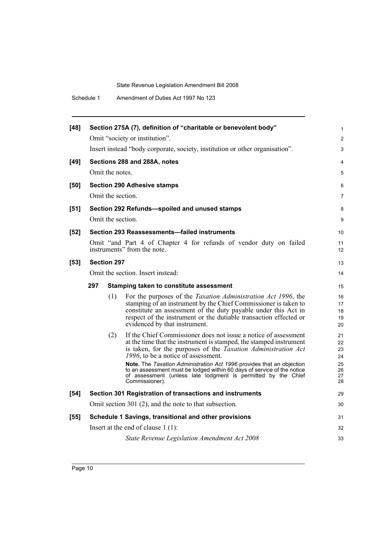| $[48]$ |                    | Section 275A (7), definition of "charitable or benevolent body"                                                                                                                                                                                                                                                                                                                                                                                                                             | 1                                            |
|--------|--------------------|---------------------------------------------------------------------------------------------------------------------------------------------------------------------------------------------------------------------------------------------------------------------------------------------------------------------------------------------------------------------------------------------------------------------------------------------------------------------------------------------|----------------------------------------------|
|        |                    | Omit "society or institution".                                                                                                                                                                                                                                                                                                                                                                                                                                                              | 2                                            |
|        |                    | Insert instead "body corporate, society, institution or other organisation".                                                                                                                                                                                                                                                                                                                                                                                                                | 3                                            |
| $[49]$ |                    | Sections 288 and 288A, notes                                                                                                                                                                                                                                                                                                                                                                                                                                                                | 4                                            |
|        | Omit the notes.    |                                                                                                                                                                                                                                                                                                                                                                                                                                                                                             | 5                                            |
| [50]   |                    | <b>Section 290 Adhesive stamps</b>                                                                                                                                                                                                                                                                                                                                                                                                                                                          | 6                                            |
|        | Omit the section.  |                                                                                                                                                                                                                                                                                                                                                                                                                                                                                             | $\overline{7}$                               |
| $[51]$ |                    | Section 292 Refunds-spoiled and unused stamps                                                                                                                                                                                                                                                                                                                                                                                                                                               | 8                                            |
|        | Omit the section.  |                                                                                                                                                                                                                                                                                                                                                                                                                                                                                             | 9                                            |
| $[52]$ |                    | Section 293 Reassessments-failed instruments                                                                                                                                                                                                                                                                                                                                                                                                                                                | 10                                           |
|        |                    | Omit "and Part 4 of Chapter 4 for refunds of vendor duty on failed<br>instruments" from the note.                                                                                                                                                                                                                                                                                                                                                                                           | 11<br>12                                     |
| $[53]$ | <b>Section 297</b> |                                                                                                                                                                                                                                                                                                                                                                                                                                                                                             | 13                                           |
|        |                    | Omit the section. Insert instead:                                                                                                                                                                                                                                                                                                                                                                                                                                                           | 14                                           |
|        | 297                | Stamping taken to constitute assessment                                                                                                                                                                                                                                                                                                                                                                                                                                                     | 15                                           |
|        | (1)                | For the purposes of the Taxation Administration Act 1996, the<br>stamping of an instrument by the Chief Commissioner is taken to<br>constitute an assessment of the duty payable under this Act in<br>respect of the instrument or the dutiable transaction effected or<br>evidenced by that instrument.                                                                                                                                                                                    | 16<br>17<br>18<br>19<br>20                   |
|        | (2)                | If the Chief Commissioner does not issue a notice of assessment<br>at the time that the instrument is stamped, the stamped instrument<br>is taken, for the purposes of the <i>Taxation Administration Act</i><br>1996, to be a notice of assessment.<br>Note. The Taxation Administration Act 1996 provides that an objection<br>to an assessment must be lodged within 60 days of service of the notice<br>of assessment (unless late lodgment is permitted by the Chief<br>Commissioner). | 21<br>22<br>23<br>24<br>25<br>26<br>27<br>28 |
| $[54]$ |                    | Section 301 Registration of transactions and instruments                                                                                                                                                                                                                                                                                                                                                                                                                                    | 29                                           |
|        |                    | Omit section 301 (2), and the note to that subsection.                                                                                                                                                                                                                                                                                                                                                                                                                                      | 30                                           |
| $[55]$ |                    | Schedule 1 Savings, transitional and other provisions                                                                                                                                                                                                                                                                                                                                                                                                                                       | 31                                           |
|        |                    | Insert at the end of clause $1(1)$ :                                                                                                                                                                                                                                                                                                                                                                                                                                                        | 32                                           |
|        |                    | State Revenue Legislation Amendment Act 2008                                                                                                                                                                                                                                                                                                                                                                                                                                                | 33                                           |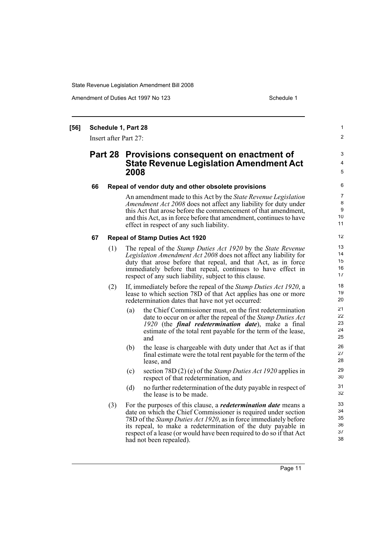Amendment of Duties Act 1997 No 123 Schedule 1

1  $\overline{2}$ 

3 4 5

#### **[56] Schedule 1, Part 28**

Insert after Part 27:

### **Part 28 Provisions consequent on enactment of State Revenue Legislation Amendment Act 2008**

#### **66 Repeal of vendor duty and other obsolete provisions**

An amendment made to this Act by the *State Revenue Legislation Amendment Act 2008* does not affect any liability for duty under this Act that arose before the commencement of that amendment, and this Act, as in force before that amendment, continues to have effect in respect of any such liability.

#### **67 Repeal of Stamp Duties Act 1920**

- (1) The repeal of the *Stamp Duties Act 1920* by the *State Revenue Legislation Amendment Act 2008* does not affect any liability for duty that arose before that repeal, and that Act, as in force immediately before that repeal, continues to have effect in respect of any such liability, subject to this clause.
- (2) If, immediately before the repeal of the *Stamp Duties Act 1920*, a lease to which section 78D of that Act applies has one or more redetermination dates that have not yet occurred:
	- (a) the Chief Commissioner must, on the first redetermination date to occur on or after the repeal of the *Stamp Duties Act 1920* (the *final redetermination date*), make a final estimate of the total rent payable for the term of the lease, and
	- (b) the lease is chargeable with duty under that Act as if that final estimate were the total rent payable for the term of the lease, and
	- (c) section 78D (2) (e) of the *Stamp Duties Act 1920* applies in respect of that redetermination, and
	- (d) no further redetermination of the duty payable in respect of the lease is to be made.
- (3) For the purposes of this clause, a *redetermination date* means a date on which the Chief Commissioner is required under section 78D of the *Stamp Duties Act 1920*, as in force immediately before its repeal, to make a redetermination of the duty payable in respect of a lease (or would have been required to do so if that Act had not been repealed).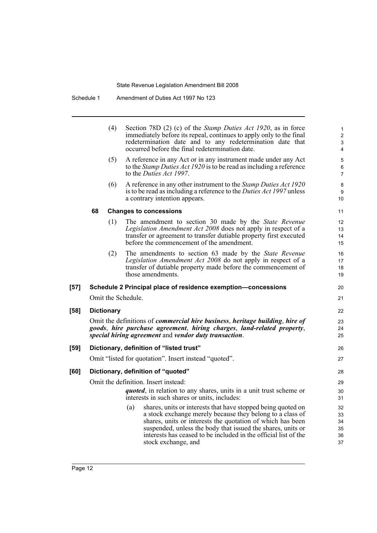| Schedule 1 | Amendment of Duties Act 1997 No 123 |
|------------|-------------------------------------|
|------------|-------------------------------------|

|        |    | (4)               | Section 78D (2) (c) of the Stamp Duties Act 1920, as in force<br>immediately before its repeal, continues to apply only to the final<br>redetermination date and to any redetermination date that<br>occurred before the final redetermination date.                                                                                                    | 1<br>$\overline{2}$<br>3<br>4    |
|--------|----|-------------------|---------------------------------------------------------------------------------------------------------------------------------------------------------------------------------------------------------------------------------------------------------------------------------------------------------------------------------------------------------|----------------------------------|
|        |    | (5)               | A reference in any Act or in any instrument made under any Act<br>to the <i>Stamp Duties Act 1920</i> is to be read as including a reference<br>to the Duties Act 1997.                                                                                                                                                                                 | 5<br>6<br>7                      |
|        |    | (6)               | A reference in any other instrument to the <i>Stamp Duties Act 1920</i><br>is to be read as including a reference to the <i>Duties Act 1997</i> unless<br>a contrary intention appears.                                                                                                                                                                 | 8<br>9<br>10                     |
|        | 68 |                   | <b>Changes to concessions</b>                                                                                                                                                                                                                                                                                                                           | 11                               |
|        |    | (1)               | The amendment to section 30 made by the State Revenue<br>Legislation Amendment Act 2008 does not apply in respect of a<br>transfer or agreement to transfer dutiable property first executed<br>before the commencement of the amendment.                                                                                                               | 12<br>13<br>14<br>15             |
|        |    | (2)               | The amendments to section 63 made by the <i>State Revenue</i><br>Legislation Amendment Act 2008 do not apply in respect of a<br>transfer of dutiable property made before the commencement of<br>those amendments.                                                                                                                                      | 16<br>17<br>18<br>19             |
| $[57]$ |    |                   | Schedule 2 Principal place of residence exemption-concessions                                                                                                                                                                                                                                                                                           | 20                               |
|        |    |                   | Omit the Schedule.                                                                                                                                                                                                                                                                                                                                      | 21                               |
| [58]   |    | <b>Dictionary</b> |                                                                                                                                                                                                                                                                                                                                                         | 22                               |
|        |    |                   | Omit the definitions of <i>commercial hire business</i> , <i>heritage building</i> , <i>hire of</i><br>goods, hire purchase agreement, hiring charges, land-related property,<br>special hiring agreement and vendor duty transaction.                                                                                                                  | 23<br>24<br>25                   |
| $[59]$ |    |                   | Dictionary, definition of "listed trust"                                                                                                                                                                                                                                                                                                                | 26                               |
|        |    |                   | Omit "listed for quotation". Insert instead "quoted".                                                                                                                                                                                                                                                                                                   | 27                               |
| [60]   |    |                   | Dictionary, definition of "quoted"                                                                                                                                                                                                                                                                                                                      | 28                               |
|        |    |                   | Omit the definition. Insert instead:                                                                                                                                                                                                                                                                                                                    | 29                               |
|        |    |                   | <i>quoted</i> , in relation to any shares, units in a unit trust scheme or<br>interests in such shares or units, includes:                                                                                                                                                                                                                              | 30<br>31                         |
|        |    |                   | shares, units or interests that have stopped being quoted on<br>(a)<br>a stock exchange merely because they belong to a class of<br>shares, units or interests the quotation of which has been<br>suspended, unless the body that issued the shares, units or<br>interests has ceased to be included in the official list of the<br>stock exchange, and | 32<br>33<br>34<br>35<br>36<br>37 |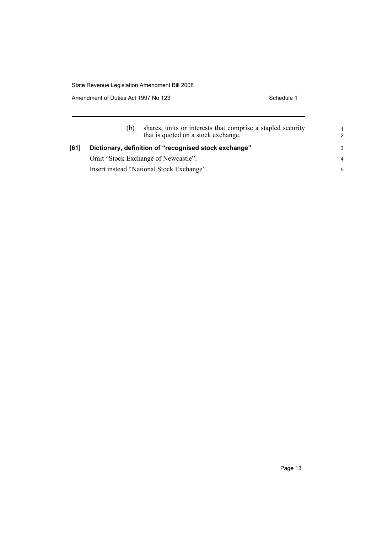Amendment of Duties Act 1997 No 123 Schedule 1

|      | (b)                                                   | shares, units or interests that comprise a stapled security<br>that is quoted on a stock exchange. | $\overline{2}$ |
|------|-------------------------------------------------------|----------------------------------------------------------------------------------------------------|----------------|
| [61] | Dictionary, definition of "recognised stock exchange" |                                                                                                    |                |
|      |                                                       | Omit "Stock Exchange of Newcastle".                                                                | $\overline{4}$ |
|      |                                                       | Insert instead "National Stock Exchange".                                                          | 5              |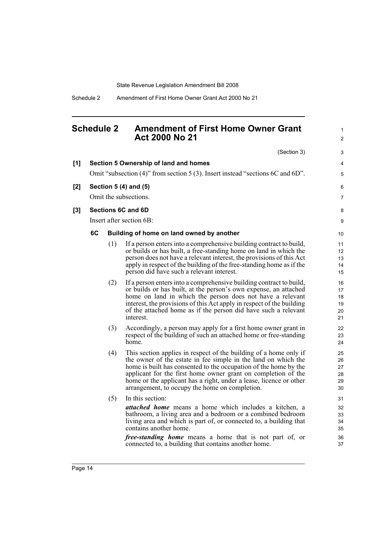# <span id="page-27-0"></span>**Schedule 2 Amendment of First Home Owner Grant Act 2000 No 21**

1 2

|     |    |     | (Section 3)                                                                                                                                                                                                                                                                                                                                                                                      | 3                                |
|-----|----|-----|--------------------------------------------------------------------------------------------------------------------------------------------------------------------------------------------------------------------------------------------------------------------------------------------------------------------------------------------------------------------------------------------------|----------------------------------|
| [1] |    |     | Section 5 Ownership of land and homes                                                                                                                                                                                                                                                                                                                                                            | 4                                |
|     |    |     | Omit "subsection (4)" from section 5 (3). Insert instead "sections 6C and 6D".                                                                                                                                                                                                                                                                                                                   | 5                                |
| [2] |    |     | Section 5 (4) and (5)                                                                                                                                                                                                                                                                                                                                                                            | 6                                |
|     |    |     | Omit the subsections.                                                                                                                                                                                                                                                                                                                                                                            | $\overline{7}$                   |
| [3] |    |     | Sections 6C and 6D                                                                                                                                                                                                                                                                                                                                                                               | 8                                |
|     |    |     | Insert after section 6B:                                                                                                                                                                                                                                                                                                                                                                         | 9                                |
|     | 6C |     | Building of home on land owned by another                                                                                                                                                                                                                                                                                                                                                        | 10                               |
|     |    | (1) | If a person enters into a comprehensive building contract to build,<br>or builds or has built, a free-standing home on land in which the<br>person does not have a relevant interest, the provisions of this Act<br>apply in respect of the building of the free-standing home as if the<br>person did have such a relevant interest.                                                            | 11<br>12<br>13<br>14<br>15       |
|     |    | (2) | If a person enters into a comprehensive building contract to build,<br>or builds or has built, at the person's own expense, an attached<br>home on land in which the person does not have a relevant<br>interest, the provisions of this Act apply in respect of the building<br>of the attached home as if the person did have such a relevant<br>interest.                                     | 16<br>17<br>18<br>19<br>20<br>21 |
|     |    | (3) | Accordingly, a person may apply for a first home owner grant in<br>respect of the building of such an attached home or free-standing<br>home.                                                                                                                                                                                                                                                    | 22<br>23<br>24                   |
|     |    | (4) | This section applies in respect of the building of a home only if<br>the owner of the estate in fee simple in the land on which the<br>home is built has consented to the occupation of the home by the<br>applicant for the first home owner grant on completion of the<br>home or the applicant has a right, under a lease, licence or other<br>arrangement, to occupy the home on completion. | 25<br>26<br>27<br>28<br>29<br>30 |
|     |    | (5) | In this section:                                                                                                                                                                                                                                                                                                                                                                                 | 31                               |
|     |    |     | <i>attached home</i> means a home which includes a kitchen, a<br>bathroom, a living area and a bedroom or a combined bedroom<br>living area and which is part of, or connected to, a building that<br>contains another home.                                                                                                                                                                     | 32<br>33<br>34<br>35             |
|     |    |     | <i>free-standing home</i> means a home that is not part of, or<br>connected to, a building that contains another home.                                                                                                                                                                                                                                                                           | 36<br>37                         |

 $[2]$ 

 $[3]$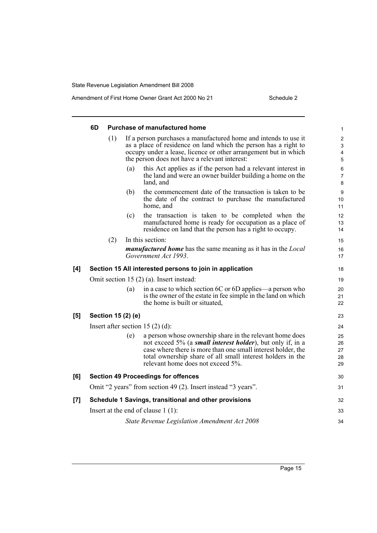|     | 6D<br><b>Purchase of manufactured home</b>               |     |     |                                                                                                                                                                                                                                                                                                   |                                        |
|-----|----------------------------------------------------------|-----|-----|---------------------------------------------------------------------------------------------------------------------------------------------------------------------------------------------------------------------------------------------------------------------------------------------------|----------------------------------------|
|     |                                                          | (1) |     | If a person purchases a manufactured home and intends to use it<br>as a place of residence on land which the person has a right to<br>occupy under a lease, licence or other arrangement but in which<br>the person does not have a relevant interest:                                            | $\overline{\mathbf{c}}$<br>3<br>4<br>5 |
|     |                                                          |     | (a) | this Act applies as if the person had a relevant interest in<br>the land and were an owner builder building a home on the<br>land, and                                                                                                                                                            | 6<br>7<br>8                            |
|     |                                                          |     | (b) | the commencement date of the transaction is taken to be<br>the date of the contract to purchase the manufactured<br>home, and                                                                                                                                                                     | 9<br>10<br>11                          |
|     |                                                          |     | (c) | the transaction is taken to be completed when the<br>manufactured home is ready for occupation as a place of<br>residence on land that the person has a right to occupy.                                                                                                                          | 12<br>13<br>14                         |
|     |                                                          | (2) |     | In this section:                                                                                                                                                                                                                                                                                  | 15                                     |
|     |                                                          |     |     | <i>manufactured home</i> has the same meaning as it has in the <i>Local</i><br>Government Act 1993.                                                                                                                                                                                               | 16<br>17                               |
| [4] | Section 15 All interested persons to join in application |     |     |                                                                                                                                                                                                                                                                                                   | 18                                     |
|     | Omit section 15 $(2)$ $(a)$ . Insert instead:            |     |     |                                                                                                                                                                                                                                                                                                   | 19                                     |
|     |                                                          |     | (a) | in a case to which section 6C or 6D applies—a person who<br>is the owner of the estate in fee simple in the land on which<br>the home is built or situated,                                                                                                                                       | 20<br>21<br>22                         |
| [5] | Section 15 (2) (e)                                       |     |     | 23                                                                                                                                                                                                                                                                                                |                                        |
|     | Insert after section 15 $(2)$ $(d)$ :                    |     |     | 24                                                                                                                                                                                                                                                                                                |                                        |
|     |                                                          |     | (e) | a person whose ownership share in the relevant home does<br>not exceed 5% (a <i>small interest holder</i> ), but only if, in a<br>case where there is more than one small interest holder, the<br>total ownership share of all small interest holders in the<br>relevant home does not exceed 5%. | 25<br>26<br>27<br>28<br>29             |
| [6] |                                                          |     |     | <b>Section 49 Proceedings for offences</b>                                                                                                                                                                                                                                                        | 30                                     |
|     |                                                          |     |     | Omit "2 years" from section 49 (2). Insert instead "3 years".                                                                                                                                                                                                                                     | 31                                     |
| [7] |                                                          |     |     | Schedule 1 Savings, transitional and other provisions                                                                                                                                                                                                                                             | 32                                     |
|     |                                                          |     |     | Insert at the end of clause $1(1)$ :                                                                                                                                                                                                                                                              | 33                                     |
|     |                                                          |     |     | State Revenue Legislation Amendment Act 2008                                                                                                                                                                                                                                                      | 34                                     |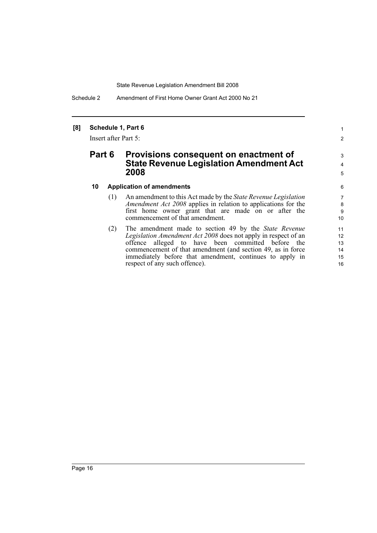Schedule 2 Amendment of First Home Owner Grant Act 2000 No 21

#### **[8] Schedule 1, Part 6**

Insert after Part 5:

# **Part 6 Provisions consequent on enactment of State Revenue Legislation Amendment Act 2008**

#### **10 Application of amendments**

- (1) An amendment to this Act made by the *State Revenue Legislation Amendment Act 2008* applies in relation to applications for the first home owner grant that are made on or after the commencement of that amendment.
- (2) The amendment made to section 49 by the *State Revenue Legislation Amendment Act 2008* does not apply in respect of an offence alleged to have been committed before the commencement of that amendment (and section 49, as in force immediately before that amendment, continues to apply in respect of any such offence).

1 2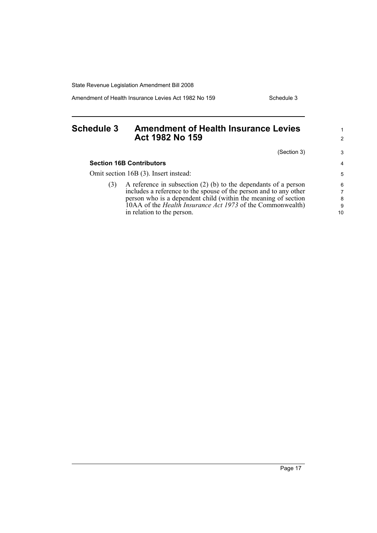Amendment of Health Insurance Levies Act 1982 No 159 Schedule 3

1 2

3 4 5

# <span id="page-30-0"></span>**Schedule 3 Amendment of Health Insurance Levies Act 1982 No 159** (Section 3) **Section 16B Contributors** Omit section 16B (3). Insert instead:

| A reference in subsection $(2)$ (b) to the dependants of a person | 6                                                                                                                                                                 |
|-------------------------------------------------------------------|-------------------------------------------------------------------------------------------------------------------------------------------------------------------|
| includes a reference to the spouse of the person and to any other | $\overline{7}$                                                                                                                                                    |
|                                                                   | 8                                                                                                                                                                 |
|                                                                   | 9                                                                                                                                                                 |
|                                                                   | 10 <sup>1</sup>                                                                                                                                                   |
|                                                                   | person who is a dependent child (within the meaning of section<br>10AA of the <i>Health Insurance Act 1973</i> of the Commonwealth)<br>in relation to the person. |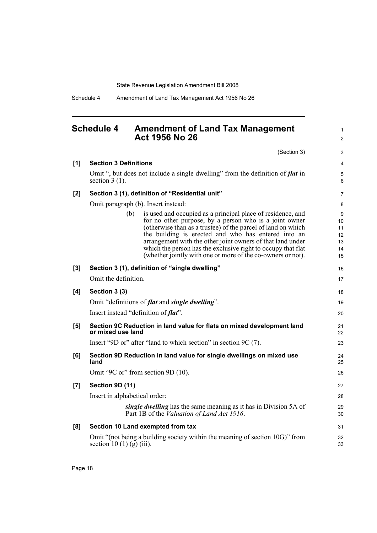Schedule 4 Amendment of Land Tax Management Act 1956 No 26

# <span id="page-31-0"></span>**Schedule 4 Amendment of Land Tax Management Act 1956 No 26**

1 2

|       | (Section 3)                                                                                                                                                                                                                                                                                                                                                                                                                                      | 3                                     |
|-------|--------------------------------------------------------------------------------------------------------------------------------------------------------------------------------------------------------------------------------------------------------------------------------------------------------------------------------------------------------------------------------------------------------------------------------------------------|---------------------------------------|
| [1]   | <b>Section 3 Definitions</b>                                                                                                                                                                                                                                                                                                                                                                                                                     | $\overline{4}$                        |
|       | Omit ", but does not include a single dwelling" from the definition of flat in<br>section $3(1)$ .                                                                                                                                                                                                                                                                                                                                               | 5<br>6                                |
| $[2]$ | Section 3 (1), definition of "Residential unit"                                                                                                                                                                                                                                                                                                                                                                                                  | 7                                     |
|       | Omit paragraph (b). Insert instead:                                                                                                                                                                                                                                                                                                                                                                                                              | 8                                     |
|       | is used and occupied as a principal place of residence, and<br>(b)<br>for no other purpose, by a person who is a joint owner<br>(otherwise than as a trustee) of the parcel of land on which<br>the building is erected and who has entered into an<br>arrangement with the other joint owners of that land under<br>which the person has the exclusive right to occupy that flat<br>(whether jointly with one or more of the co-owners or not). | 9<br>10<br>11<br>12<br>13<br>14<br>15 |
| [3]   | Section 3 (1), definition of "single dwelling"                                                                                                                                                                                                                                                                                                                                                                                                   | 16                                    |
|       | Omit the definition.                                                                                                                                                                                                                                                                                                                                                                                                                             | 17                                    |
| [4]   | Section 3 (3)                                                                                                                                                                                                                                                                                                                                                                                                                                    | 18                                    |
|       | Omit "definitions of <i>flat</i> and <i>single dwelling</i> ".                                                                                                                                                                                                                                                                                                                                                                                   | 19                                    |
|       | Insert instead "definition of flat".                                                                                                                                                                                                                                                                                                                                                                                                             | 20                                    |
| [5]   | Section 9C Reduction in land value for flats on mixed development land<br>or mixed use land                                                                                                                                                                                                                                                                                                                                                      | 21<br>22                              |
|       | Insert "9D or" after "land to which section" in section 9C (7).                                                                                                                                                                                                                                                                                                                                                                                  | 23                                    |
| [6]   | Section 9D Reduction in land value for single dwellings on mixed use<br>land                                                                                                                                                                                                                                                                                                                                                                     | 24<br>25                              |
|       | Omit "9C or" from section 9D (10).                                                                                                                                                                                                                                                                                                                                                                                                               | 26                                    |
| [7]   | Section 9D (11)                                                                                                                                                                                                                                                                                                                                                                                                                                  | 27                                    |
|       | Insert in alphabetical order:                                                                                                                                                                                                                                                                                                                                                                                                                    | 28                                    |
|       | single dwelling has the same meaning as it has in Division 5A of<br>Part 1B of the Valuation of Land Act 1916.                                                                                                                                                                                                                                                                                                                                   | 29<br>30                              |
| [8]   | Section 10 Land exempted from tax                                                                                                                                                                                                                                                                                                                                                                                                                | 31                                    |
|       | Omit "(not being a building society within the meaning of section 10G)" from<br>section 10 (1) (g) (iii).                                                                                                                                                                                                                                                                                                                                        | 32<br>33                              |
|       |                                                                                                                                                                                                                                                                                                                                                                                                                                                  |                                       |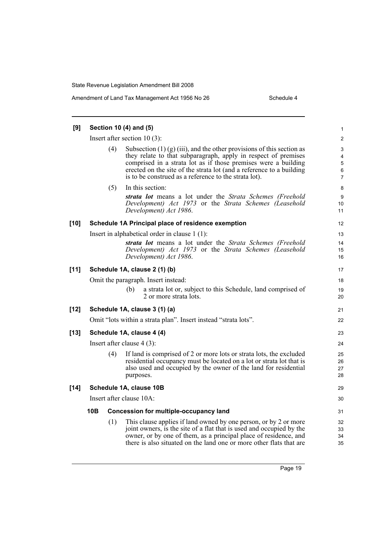| [9]    | Section 10 (4) and (5)       |     |                                                                                                                                                                                                                                                                                                                                              |                                                    |  |  |
|--------|------------------------------|-----|----------------------------------------------------------------------------------------------------------------------------------------------------------------------------------------------------------------------------------------------------------------------------------------------------------------------------------------------|----------------------------------------------------|--|--|
|        |                              |     | Insert after section $10(3)$ :                                                                                                                                                                                                                                                                                                               | $\overline{c}$                                     |  |  |
|        |                              | (4) | Subsection $(1)$ (g) (iii), and the other provisions of this section as<br>they relate to that subparagraph, apply in respect of premises<br>comprised in a strata lot as if those premises were a building<br>erected on the site of the strata lot (and a reference to a building<br>is to be construed as a reference to the strata lot). | 3<br>4<br>$\mathbf 5$<br>$\,6\,$<br>$\overline{7}$ |  |  |
|        |                              | (5) | In this section:                                                                                                                                                                                                                                                                                                                             | 8                                                  |  |  |
|        |                              |     | strata lot means a lot under the Strata Schemes (Freehold<br>Development) Act 1973 or the Strata Schemes (Leasehold<br>Development) Act 1986.                                                                                                                                                                                                | 9<br>10<br>11                                      |  |  |
| $[10]$ |                              |     | Schedule 1A Principal place of residence exemption                                                                                                                                                                                                                                                                                           | 12                                                 |  |  |
|        |                              |     | Insert in alphabetical order in clause $1(1)$ :                                                                                                                                                                                                                                                                                              | 13                                                 |  |  |
|        |                              |     | strata lot means a lot under the Strata Schemes (Freehold<br>Development) Act 1973 or the Strata Schemes (Leasehold<br>Development) Act 1986.                                                                                                                                                                                                | 14<br>15<br>16                                     |  |  |
| $[11]$ |                              |     | Schedule 1A, clause 2 (1) (b)                                                                                                                                                                                                                                                                                                                | 17                                                 |  |  |
|        |                              |     | Omit the paragraph. Insert instead:                                                                                                                                                                                                                                                                                                          | 18                                                 |  |  |
|        |                              |     | a strata lot or, subject to this Schedule, land comprised of<br>(b)<br>2 or more strata lots.                                                                                                                                                                                                                                                | 19<br>20                                           |  |  |
| $[12]$ |                              |     | Schedule 1A, clause 3 (1) (a)<br>Omit "lots within a strata plan". Insert instead "strata lots".                                                                                                                                                                                                                                             | 21<br>22                                           |  |  |
| $[13]$ |                              |     | Schedule 1A, clause 4 (4)                                                                                                                                                                                                                                                                                                                    | 23                                                 |  |  |
|        | Insert after clause $4(3)$ : |     |                                                                                                                                                                                                                                                                                                                                              | 24                                                 |  |  |
|        |                              | (4) | If land is comprised of 2 or more lots or strata lots, the excluded<br>residential occupancy must be located on a lot or strata lot that is<br>also used and occupied by the owner of the land for residential<br>purposes.                                                                                                                  | 25<br>26<br>27<br>28                               |  |  |
| $[14]$ |                              |     | Schedule 1A, clause 10B                                                                                                                                                                                                                                                                                                                      | 29                                                 |  |  |
|        | Insert after clause 10A:     |     |                                                                                                                                                                                                                                                                                                                                              |                                                    |  |  |
|        | 10B                          |     | <b>Concession for multiple-occupancy land</b>                                                                                                                                                                                                                                                                                                | 31                                                 |  |  |
|        |                              | (1) | This clause applies if land owned by one person, or by 2 or more<br>joint owners, is the site of a flat that is used and occupied by the<br>owner, or by one of them, as a principal place of residence, and<br>there is also situated on the land one or more other flats that are                                                          | 32<br>33<br>34<br>35                               |  |  |

Page 19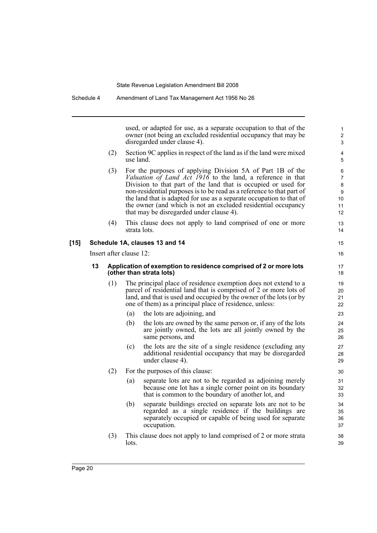used, or adapted for use, as a separate occupation to that of the owner (not being an excluded residential occupancy that may be disregarded under clause 4).

- (2) Section 9C applies in respect of the land as if the land were mixed use land.
- (3) For the purposes of applying Division 5A of Part 1B of the *Valuation of Land Act 1916* to the land, a reference in that Division to that part of the land that is occupied or used for non-residential purposes is to be read as a reference to that part of the land that is adapted for use as a separate occupation to that of the owner (and which is not an excluded residential occupancy that may be disregarded under clause 4).
- (4) This clause does not apply to land comprised of one or more strata lots.

#### **[15] Schedule 1A, clauses 13 and 14**

Insert after clause 12:

#### **13 Application of exemption to residence comprised of 2 or more lots (other than strata lots)**

- (1) The principal place of residence exemption does not extend to a parcel of residential land that is comprised of 2 or more lots of land, and that is used and occupied by the owner of the lots (or by one of them) as a principal place of residence, unless:
	- (a) the lots are adjoining, and
	- (b) the lots are owned by the same person or, if any of the lots are jointly owned, the lots are all jointly owned by the same persons, and
	- (c) the lots are the site of a single residence (excluding any additional residential occupancy that may be disregarded under clause 4).
- (2) For the purposes of this clause:
	- (a) separate lots are not to be regarded as adjoining merely because one lot has a single corner point on its boundary that is common to the boundary of another lot, and
	- (b) separate buildings erected on separate lots are not to be regarded as a single residence if the buildings are separately occupied or capable of being used for separate occupation.
- (3) This clause does not apply to land comprised of 2 or more strata lots.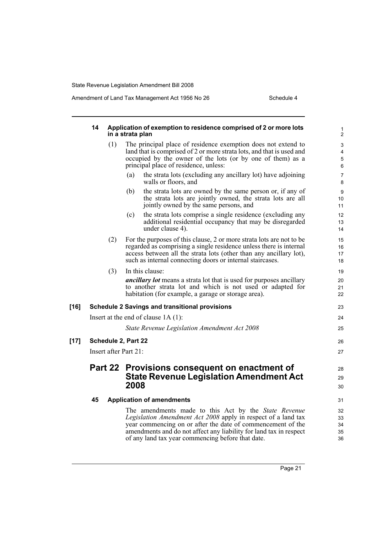|      | 14 |     | Application of exemption to residence comprised of 2 or more lots<br>in a strata plan                                                                                                                                                                                                                                  | 1<br>$\overline{2}$              |
|------|----|-----|------------------------------------------------------------------------------------------------------------------------------------------------------------------------------------------------------------------------------------------------------------------------------------------------------------------------|----------------------------------|
|      |    | (1) | The principal place of residence exemption does not extend to<br>land that is comprised of 2 or more strata lots, and that is used and<br>occupied by the owner of the lots (or by one of them) as a<br>principal place of residence, unless:                                                                          | 3<br>4<br>$\mathbf 5$<br>$\,6\,$ |
|      |    |     | the strata lots (excluding any ancillary lot) have adjoining<br>(a)<br>walls or floors, and                                                                                                                                                                                                                            | $\overline{7}$<br>8              |
|      |    |     | the strata lots are owned by the same person or, if any of<br>(b)<br>the strata lots are jointly owned, the strata lots are all<br>jointly owned by the same persons, and                                                                                                                                              | 9<br>10<br>11                    |
|      |    |     | the strata lots comprise a single residence (excluding any<br>(c)<br>additional residential occupancy that may be disregarded<br>under clause 4).                                                                                                                                                                      | 12<br>13<br>14                   |
|      |    | (2) | For the purposes of this clause, 2 or more strata lots are not to be<br>regarded as comprising a single residence unless there is internal<br>access between all the strata lots (other than any ancillary lot),<br>such as internal connecting doors or internal staircases.                                          | 15<br>16<br>17<br>18             |
|      |    | (3) | In this clause:<br><i>ancillary lot</i> means a strata lot that is used for purposes ancillary<br>to another strata lot and which is not used or adapted for<br>habitation (for example, a garage or storage area).                                                                                                    | 19<br>20<br>21<br>22             |
| [16] |    |     | <b>Schedule 2 Savings and transitional provisions</b>                                                                                                                                                                                                                                                                  | 23                               |
|      |    |     | Insert at the end of clause $1A(1)$ :                                                                                                                                                                                                                                                                                  | 24                               |
|      |    |     | State Revenue Legislation Amendment Act 2008                                                                                                                                                                                                                                                                           | 25                               |
| [17] |    |     | Schedule 2, Part 22                                                                                                                                                                                                                                                                                                    | 26                               |
|      |    |     | Insert after Part 21:                                                                                                                                                                                                                                                                                                  | 27                               |
|      |    |     | Part 22 Provisions consequent on enactment of<br><b>State Revenue Legislation Amendment Act</b><br>2008                                                                                                                                                                                                                | 28<br>29                         |
|      |    |     |                                                                                                                                                                                                                                                                                                                        | 30                               |
|      | 45 |     | <b>Application of amendments</b>                                                                                                                                                                                                                                                                                       | 31                               |
|      |    |     | The amendments made to this Act by the <i>State Revenue</i><br>Legislation Amendment Act 2008 apply in respect of a land tax<br>year commencing on or after the date of commencement of the<br>amendments and do not affect any liability for land tax in respect<br>of any land tax year commencing before that date. | 32<br>33<br>34<br>35<br>36       |
|      |    |     |                                                                                                                                                                                                                                                                                                                        |                                  |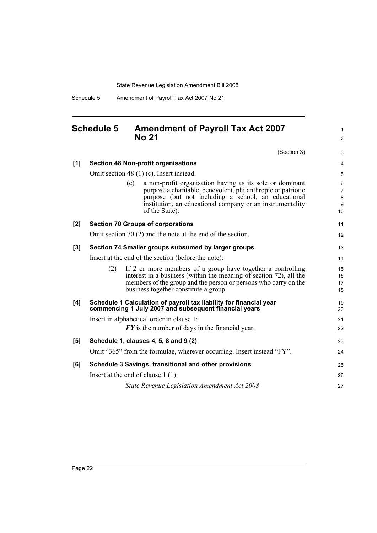Schedule 5 Amendment of Payroll Tax Act 2007 No 21

# <span id="page-35-0"></span>**Schedule 5 Amendment of Payroll Tax Act 2007 No 21**

(Section 3) **[1] Section 48 Non-profit organisations** Omit section 48 (1) (c). Insert instead: (c) a non-profit organisation having as its sole or dominant purpose a charitable, benevolent, philanthropic or patriotic purpose (but not including a school, an educational institution, an educational company or an instrumentality of the State). **[2] Section 70 Groups of corporations** Omit section 70 (2) and the note at the end of the section. **[3] Section 74 Smaller groups subsumed by larger groups** Insert at the end of the section (before the note): (2) If 2 or more members of a group have together a controlling interest in a business (within the meaning of section 72), all the members of the group and the person or persons who carry on the business together constitute a group. **[4] Schedule 1 Calculation of payroll tax liability for financial year commencing 1 July 2007 and subsequent financial years** Insert in alphabetical order in clause 1: *FY* is the number of days in the financial year. **[5] Schedule 1, clauses 4, 5, 8 and 9 (2)** Omit "365" from the formulae, wherever occurring. Insert instead "FY". **[6] Schedule 3 Savings, transitional and other provisions** Insert at the end of clause 1 (1): *State Revenue Legislation Amendment Act 2008* 3 4 5 6 7 8 9 10 11 12 13 14 15 16 17 18 19 20 21 22 23 24 25 26 27

1  $\mathfrak{p}$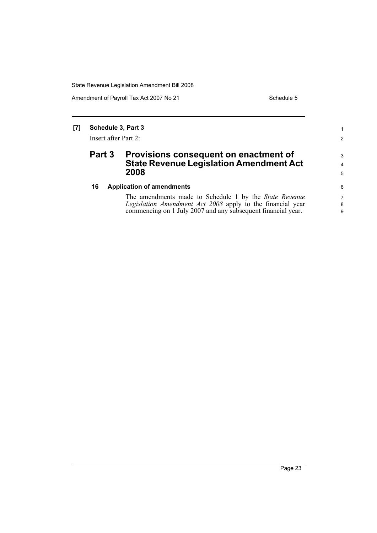Amendment of Payroll Tax Act 2007 No 21 Schedule 5

1 2

3 4 5

### **[7] Schedule 3, Part 3**

Insert after Part 2:

# **Part 3 Provisions consequent on enactment of State Revenue Legislation Amendment Act 2008**

#### **16 Application of amendments**

The amendments made to Schedule 1 by the *State Revenue Legislation Amendment Act 2008* apply to the financial year commencing on 1 July 2007 and any subsequent financial year.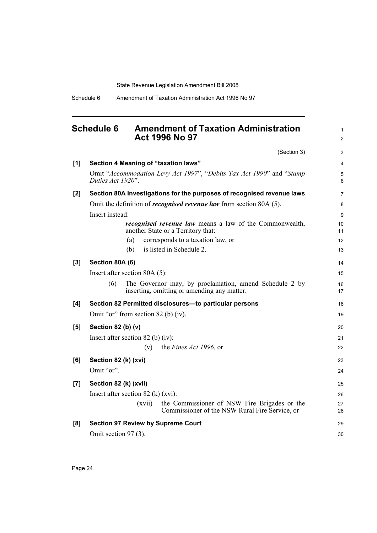# <span id="page-37-0"></span>**Schedule 6 Amendment of Taxation Administration Act 1996 No 97**

1 2

(Section 3) **[1] Section 4 Meaning of "taxation laws"** Omit "*Accommodation Levy Act 1997*", "*Debits Tax Act 1990*" and "*Stamp Duties Act 1920*". **[2] Section 80A Investigations for the purposes of recognised revenue laws** Omit the definition of *recognised revenue law* from section 80A (5). Insert instead: *recognised revenue law* means a law of the Commonwealth, another State or a Territory that: (a) corresponds to a taxation law, or (b) is listed in Schedule 2. **[3] Section 80A (6)** Insert after section 80A (5): (6) The Governor may, by proclamation, amend Schedule 2 by inserting, omitting or amending any matter. **[4] Section 82 Permitted disclosures—to particular persons** Omit "or" from section 82 (b) (iv). **[5] Section 82 (b) (v)** Insert after section 82 (b) (iv): (v) the *Fines Act 1996*, or **[6] Section 82 (k) (xvi)** Omit "or". **[7] Section 82 (k) (xvii)** Insert after section 82 (k) (xvi): (xvii) the Commissioner of NSW Fire Brigades or the Commissioner of the NSW Rural Fire Service, or **[8] Section 97 Review by Supreme Court** Omit section 97 (3). 3 4 5 6 7 8 9 10 11 12 13 14 15 16 17 18 19 20 21 22 23 24 25 26 27 28 29 30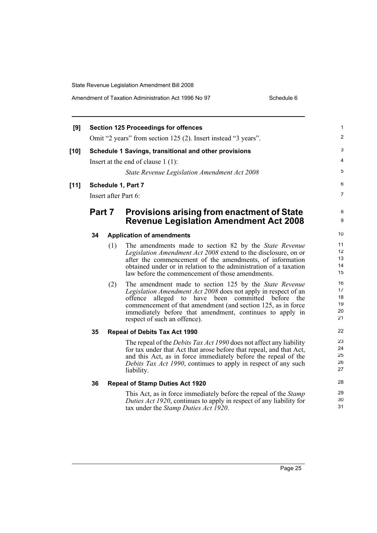| Amendment of Taxation Administration Act 1996 No 97 | Schedule 6 |
|-----------------------------------------------------|------------|
|-----------------------------------------------------|------------|

| [9]    |    |        | <b>Section 125 Proceedings for offences</b>                                                                                                                                                    |
|--------|----|--------|------------------------------------------------------------------------------------------------------------------------------------------------------------------------------------------------|
|        |    |        | Omit "2 years" from section 125 (2). Insert instead "3 years".                                                                                                                                 |
| $[10]$ |    |        | Schedule 1 Savings, transitional and other provisions                                                                                                                                          |
|        |    |        | Insert at the end of clause $1(1)$ :                                                                                                                                                           |
|        |    |        | State Revenue Legislation Amendment Act 2008                                                                                                                                                   |
| $[11]$ |    |        | Schedule 1, Part 7                                                                                                                                                                             |
|        |    |        | Insert after Part 6:                                                                                                                                                                           |
|        |    | Part 7 | <b>Provisions arising from enactment of State</b>                                                                                                                                              |
|        |    |        | <b>Revenue Legislation Amendment Act 2008</b>                                                                                                                                                  |
|        | 34 |        | <b>Application of amendments</b>                                                                                                                                                               |
|        |    | (1)    | The amendments made to section 82 by the State Revenue                                                                                                                                         |
|        |    |        | Legislation Amendment Act 2008 extend to the disclosure, on or<br>after the commencement of the amendments, of information                                                                     |
|        |    |        | obtained under or in relation to the administration of a taxation<br>law before the commencement of those amendments.                                                                          |
|        |    | (2)    | The amendment made to section 125 by the State Revenue                                                                                                                                         |
|        |    |        | Legislation Amendment Act 2008 does not apply in respect of an<br>alleged to have been committed before<br>offence<br>the                                                                      |
|        |    |        | commencement of that amendment (and section 125, as in force<br>immediately before that amendment, continues to apply in                                                                       |
|        |    |        | respect of such an offence).                                                                                                                                                                   |
|        | 35 |        | <b>Repeal of Debits Tax Act 1990</b>                                                                                                                                                           |
|        |    |        | The repeal of the <i>Debits Tax Act 1990</i> does not affect any liability                                                                                                                     |
|        |    |        | for tax under that Act that arose before that repeal, and that Act,<br>and this Act, as in force immediately before the repeal of the                                                          |
|        |    |        | Debits Tax Act 1990, continues to apply in respect of any such<br>liability.                                                                                                                   |
|        | 36 |        | <b>Repeal of Stamp Duties Act 1920</b>                                                                                                                                                         |
|        |    |        | This Act, as in force immediately before the repeal of the <i>Stamp</i><br>Duties Act 1920, continues to apply in respect of any liability for<br>tax under the <i>Stamp Duties Act 1920</i> . |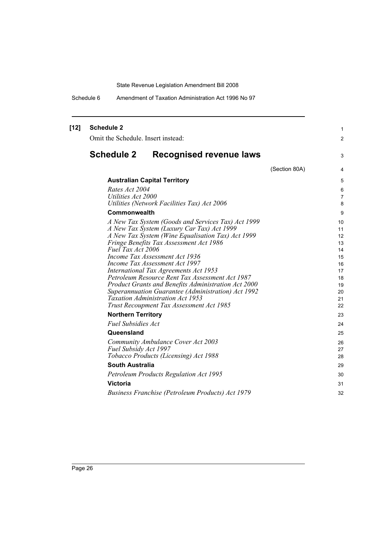Schedule 6 Amendment of Taxation Administration Act 1996 No 97

| $[12]$ | <b>Schedule 2</b><br>Omit the Schedule. Insert instead:                                                   |               | 1<br>$\overline{c}$ |
|--------|-----------------------------------------------------------------------------------------------------------|---------------|---------------------|
|        | <b>Schedule 2</b><br><b>Recognised revenue laws</b>                                                       |               | 3                   |
|        |                                                                                                           | (Section 80A) | 4                   |
|        | <b>Australian Capital Territory</b>                                                                       |               | 5                   |
|        | Rates Act 2004                                                                                            |               | 6                   |
|        | Utilities Act 2000                                                                                        |               | 7                   |
|        | Utilities (Network Facilities Tax) Act 2006                                                               |               | 8                   |
|        | Commonwealth                                                                                              |               | 9                   |
|        | A New Tax System (Goods and Services Tax) Act 1999                                                        |               | 10                  |
|        | A New Tax System (Luxury Car Tax) Act 1999                                                                |               | 11                  |
|        | A New Tax System (Wine Equalisation Tax) Act 1999<br>Fringe Benefits Tax Assessment Act 1986              |               | 12<br>13            |
|        | Fuel Tax Act 2006                                                                                         |               | 14                  |
|        | Income Tax Assessment Act 1936                                                                            |               | 15                  |
|        | Income Tax Assessment Act 1997                                                                            |               | 16                  |
|        | International Tax Agreements Act 1953                                                                     |               | 17                  |
|        | Petroleum Resource Rent Tax Assessment Act 1987                                                           |               | 18                  |
|        | Product Grants and Benefits Administration Act 2000<br>Superannuation Guarantee (Administration) Act 1992 |               | 19<br>20            |
|        | <b>Taxation Administration Act 1953</b>                                                                   |               | 21                  |
|        | Trust Recoupment Tax Assessment Act 1985                                                                  |               | 22                  |
|        | <b>Northern Territory</b>                                                                                 |               | 23                  |
|        | <b>Fuel Subsidies Act</b>                                                                                 |               | 24                  |
|        | Queensland                                                                                                |               | 25                  |
|        | Community Ambulance Cover Act 2003                                                                        |               | 26                  |
|        | Fuel Subsidy Act 1997                                                                                     |               | 27                  |
|        | Tobacco Products (Licensing) Act 1988                                                                     |               | 28                  |
|        | <b>South Australia</b>                                                                                    |               | 29                  |
|        | <b>Petroleum Products Regulation Act 1995</b>                                                             |               | 30                  |
|        | <b>Victoria</b>                                                                                           |               | 31                  |
|        | Business Franchise (Petroleum Products) Act 1979                                                          |               | 32                  |
|        |                                                                                                           |               |                     |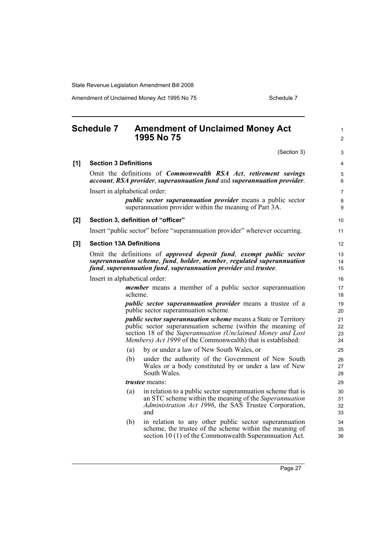Amendment of Unclaimed Money Act 1995 No 75 Schedule 7

<span id="page-40-0"></span>

|     | <b>Schedule 7</b>              |         | <b>Amendment of Unclaimed Money Act</b><br>1995 No 75                                                                                                                                                                                                            | $\mathbf{1}$<br>2    |
|-----|--------------------------------|---------|------------------------------------------------------------------------------------------------------------------------------------------------------------------------------------------------------------------------------------------------------------------|----------------------|
|     |                                |         | (Section 3)                                                                                                                                                                                                                                                      | 3                    |
| [1] | <b>Section 3 Definitions</b>   |         |                                                                                                                                                                                                                                                                  | 4                    |
|     |                                |         | Omit the definitions of <i>Commonwealth RSA Act</i> , <i>retirement savings</i><br>account, RSA provider, superannuation fund and superannuation provider.                                                                                                       | 5<br>6               |
|     | Insert in alphabetical order:  |         |                                                                                                                                                                                                                                                                  | $\overline{7}$       |
|     |                                |         | <i>public sector superannuation provider</i> means a public sector<br>superannuation provider within the meaning of Part 3A.                                                                                                                                     | 8<br>9               |
| [2] |                                |         | Section 3, definition of "officer"                                                                                                                                                                                                                               | 10                   |
|     |                                |         | Insert "public sector" before "superannuation provider" wherever occurring.                                                                                                                                                                                      | 11                   |
| [3] | <b>Section 13A Definitions</b> |         |                                                                                                                                                                                                                                                                  | 12                   |
|     |                                |         | Omit the definitions of approved deposit fund, exempt public sector<br>superannuation scheme, fund, holder, member, regulated superannuation<br>fund, superannuation fund, superannuation provider and trustee.                                                  | 13<br>14<br>15       |
|     | Insert in alphabetical order:  |         |                                                                                                                                                                                                                                                                  | 16                   |
|     |                                | scheme. | <i>member</i> means a member of a public sector superannuation                                                                                                                                                                                                   | 17<br>18             |
|     |                                |         | public sector superannuation provider means a trustee of a<br>public sector superannuation scheme.                                                                                                                                                               | 19<br>20             |
|     |                                |         | <i>public sector superannuation scheme</i> means a State or Territory<br>public sector superannuation scheme (within the meaning of<br>section 18 of the Superannuation (Unclaimed Money and Lost<br>Members) Act 1999 of the Commonwealth) that is established: | 21<br>22<br>23<br>24 |
|     |                                | (a)     | by or under a law of New South Wales, or                                                                                                                                                                                                                         | 25                   |
|     |                                | (b)     | under the authority of the Government of New South<br>Wales or a body constituted by or under a law of New<br>South Wales.                                                                                                                                       | 26<br>27<br>28       |
|     |                                |         | <i>trustee</i> means:                                                                                                                                                                                                                                            | 29                   |
|     |                                | (a)     | in relation to a public sector superannuation scheme that is<br>an STC scheme within the meaning of the Superannuation<br>Administration Act 1996, the SAS Trustee Corporation,<br>and                                                                           | 30<br>31<br>32<br>33 |
|     |                                | (b)     | in relation to any other public sector superannuation<br>scheme, the trustee of the scheme within the meaning of                                                                                                                                                 | 34<br>35             |

section 10 (1) of the Commonwealth Superannuation Act.

36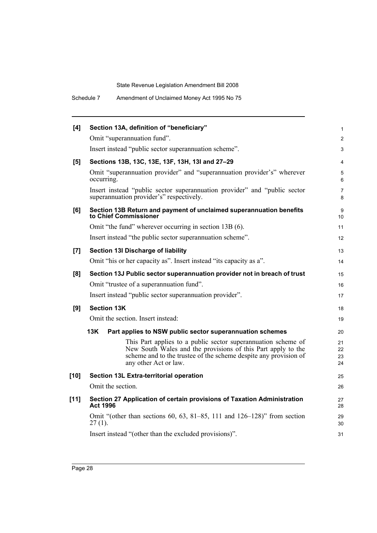| [4]    | Section 13A, definition of "beneficiary"                                                                                                                                                                                   | $\mathbf{1}$         |
|--------|----------------------------------------------------------------------------------------------------------------------------------------------------------------------------------------------------------------------------|----------------------|
|        | Omit "superannuation fund".                                                                                                                                                                                                | $\overline{2}$       |
|        | Insert instead "public sector superannuation scheme".                                                                                                                                                                      | 3                    |
| [5]    | Sections 13B, 13C, 13E, 13F, 13H, 13I and 27-29                                                                                                                                                                            | $\overline{4}$       |
|        | Omit "superannuation provider" and "superannuation provider's" wherever<br>occurring.                                                                                                                                      | 5<br>6               |
|        | Insert instead "public sector superannuation provider" and "public sector<br>superannuation provider's" respectively.                                                                                                      | 7<br>8               |
| [6]    | Section 13B Return and payment of unclaimed superannuation benefits<br>to Chief Commissioner                                                                                                                               | 9<br>10              |
|        | Omit "the fund" wherever occurring in section 13B (6).                                                                                                                                                                     | 11                   |
|        | Insert instead "the public sector superannuation scheme".                                                                                                                                                                  | 12                   |
| $[7]$  | Section 13I Discharge of liability                                                                                                                                                                                         | 13                   |
|        | Omit "his or her capacity as". Insert instead "its capacity as a".                                                                                                                                                         | 14                   |
| [8]    | Section 13J Public sector superannuation provider not in breach of trust                                                                                                                                                   | 15                   |
|        | Omit "trustee of a superannuation fund".                                                                                                                                                                                   | 16                   |
|        | Insert instead "public sector superannuation provider".                                                                                                                                                                    | 17                   |
| [9]    | <b>Section 13K</b>                                                                                                                                                                                                         | 18                   |
|        | Omit the section. Insert instead:                                                                                                                                                                                          | 19                   |
|        | 13K<br>Part applies to NSW public sector superannuation schemes                                                                                                                                                            | 20                   |
|        | This Part applies to a public sector superannuation scheme of<br>New South Wales and the provisions of this Part apply to the<br>scheme and to the trustee of the scheme despite any provision of<br>any other Act or law. | 21<br>22<br>23<br>24 |
| $[10]$ | Section 13L Extra-territorial operation                                                                                                                                                                                    | 25                   |
|        | Omit the section.                                                                                                                                                                                                          | 26                   |
| $[11]$ | Section 27 Application of certain provisions of Taxation Administration<br><b>Act 1996</b>                                                                                                                                 | 27<br>28             |
|        | Omit "(other than sections 60, 63, 81–85, 111 and $126-128$ )" from section<br>$27(1)$ .                                                                                                                                   | 29<br>30             |
|        | Insert instead "(other than the excluded provisions)".                                                                                                                                                                     | 31                   |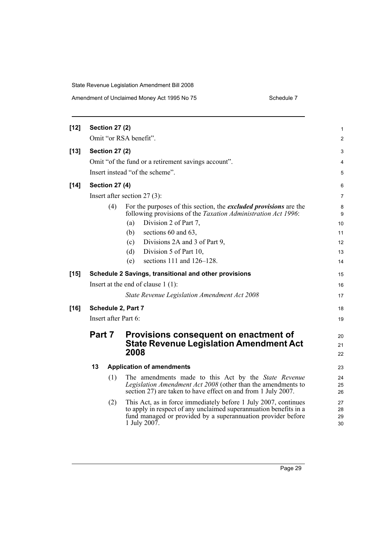| Amendment of Unclaimed Money Act 1995 No 75 | Schedule 7 |
|---------------------------------------------|------------|
|---------------------------------------------|------------|

| $[12]$ |                                                     | <b>Section 27 (2)</b> |                                                                                                                                                                                                                      | 1                    |
|--------|-----------------------------------------------------|-----------------------|----------------------------------------------------------------------------------------------------------------------------------------------------------------------------------------------------------------------|----------------------|
|        |                                                     |                       | Omit "or RSA benefit".                                                                                                                                                                                               | 2                    |
| $[13]$ |                                                     | <b>Section 27 (2)</b> |                                                                                                                                                                                                                      | 3                    |
|        | Omit "of the fund or a retirement savings account". |                       |                                                                                                                                                                                                                      | 4                    |
|        | Insert instead "of the scheme".                     |                       |                                                                                                                                                                                                                      | 5                    |
| $[14]$ | <b>Section 27 (4)</b>                               |                       |                                                                                                                                                                                                                      | 6                    |
|        | Insert after section $27(3)$ :                      |                       |                                                                                                                                                                                                                      |                      |
|        |                                                     | (4)                   | For the purposes of this section, the <i>excluded provisions</i> are the<br>following provisions of the Taxation Administration Act 1996:                                                                            | 8<br>9               |
|        |                                                     |                       | Division 2 of Part 7,<br>(a)                                                                                                                                                                                         | 10                   |
|        |                                                     |                       | sections 60 and 63,<br>(b)                                                                                                                                                                                           | 11                   |
|        |                                                     |                       | Divisions 2A and 3 of Part 9,<br>(c)                                                                                                                                                                                 | 12                   |
|        |                                                     |                       | Division 5 of Part 10,<br>(d)                                                                                                                                                                                        | 13                   |
|        |                                                     |                       | sections 111 and 126–128.<br>(e)                                                                                                                                                                                     | 14                   |
| $[15]$ |                                                     |                       | Schedule 2 Savings, transitional and other provisions                                                                                                                                                                | 15                   |
|        | Insert at the end of clause $1(1)$ :                |                       |                                                                                                                                                                                                                      | 16                   |
|        |                                                     |                       | State Revenue Legislation Amendment Act 2008                                                                                                                                                                         | 17                   |
| $[16]$ | Schedule 2, Part 7                                  |                       |                                                                                                                                                                                                                      |                      |
|        | Insert after Part 6:                                |                       |                                                                                                                                                                                                                      |                      |
|        | Part 7                                              |                       | Provisions consequent on enactment of<br><b>State Revenue Legislation Amendment Act</b><br>2008                                                                                                                      | 20<br>21<br>22       |
|        | 13                                                  |                       | <b>Application of amendments</b>                                                                                                                                                                                     | 23                   |
|        |                                                     | (1)                   | The amendments made to this Act by the State Revenue<br>Legislation Amendment Act 2008 (other than the amendments to<br>section 27) are taken to have effect on and from 1 July 2007.                                | 24<br>25<br>26       |
|        |                                                     | (2)                   | This Act, as in force immediately before 1 July 2007, continues<br>to apply in respect of any unclaimed superannuation benefits in a<br>fund managed or provided by a superannuation provider before<br>1 July 2007. | 27<br>28<br>29<br>30 |